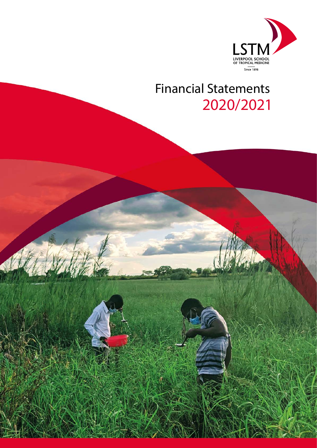

# Financial Statements 2020/2021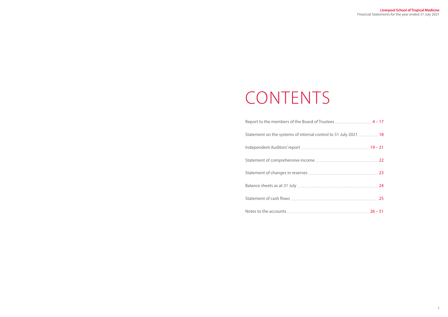| July 2021  18 |  |
|---------------|--|
|               |  |
|               |  |
|               |  |
|               |  |
|               |  |
| $26 - 51$     |  |

| Statement on the systems of internal control to 31 July 2021  18 |  |
|------------------------------------------------------------------|--|
|                                                                  |  |
|                                                                  |  |
|                                                                  |  |
|                                                                  |  |
|                                                                  |  |
|                                                                  |  |

# CONTENTS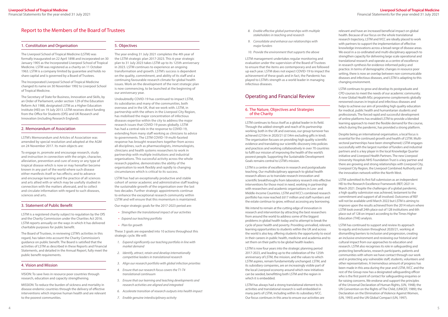#### **Liverpool School of Tropical Medicine** Financial Statements for the year ended 31 July 2021

## <span id="page-2-0"></span>Report to the Members of the Board of Trustees

#### 1. Constitution and Organisation

The Liverpool School of Tropical Medicine (LSTM) was formally inaugurated on 22 April 1898 and incorporated on 30 January 1905 as the Incorporated Liverpool School of Tropical Medicine. LSTM was registered as a charity on 11 October 1963. LSTM is a company limited by guarantee and holds no share capital and is governed by a Board of Trustees.

The Incorporated Liverpool School of Tropical Medicine changed its name on 30 November 1992 to Liverpool School of Tropical Medicine.

The Secretary of State for Business, Innovation and Skills, by an Order of Parliament, under section 129 of the Education Reform Act 1988, designated LSTM as a Higher Education Institute (HEI) on 19 July 2013. LSTM receives direct funding from the Office for Students (OfS) and UK Research and Innovation (including Research England).

#### 2. Memorandum of Association

LSTM's Memorandum and Articles of Association was amended by special resolution and adopted at the AGM on 24 November 2017. Its main objects are:

To engage in, promote and encourage research, study and instruction in connection with the origin, character, alleviation, prevention and cure of every or any type of tropical disease which is now or may hereafter become known in any part of the world where such disease either manifests itself or has effects; and to advance and encourage learning and the practice of all sciences and arts allied with or which may be usefully studied in connection with the matters aforesaid, and to collect and circulate information with regard to such diseases, sciences and arts.

#### 3. Statement of Public Benefit

LSTM is a registered charity subject to regulation by the OfS and the Charity Commission under the Charities Act 2016. LSTM reports annually on the ways in which it has delivered charitable purposes for public benefit.

The Board of Trustees, in reviewing LSTM's activities in this regard, has taken into account the Charity Commission's guidance on public benefit. The Board is satisfied that the activities of LSTM as described in these Reports and Financial Statements, and detailed in the Annual Report, fully meet the public benefit requirements.

#### 4. Vision and Mission

VISION: To save lives in resource poor countries through research, education and capacity strengthening.

MISSION: To reduce the burden of sickness and mortality in disease endemic countries through the delivery of effective interventions which improve human health and are relevant to the poorest communities.

#### 5. Objectives

The year ending 31 July 2021 completes the 4th year of the LSTM strategic plan 2017-2023. This 6-year strategic plan to 31 July 2023 takes LSTM up to its 125th anniversary in 2023. LSTM continues to experience an ongoing transformation and growth. LSTM's success is dependent on the quality, commitment, and ability of its staff and a continuing favourable research climate for global health issues. Work on the development of the next strategic plan is now commencing, to be launched at the beginning of our anniversary year.

Undoubtedly COVID-19 has continued to impact LSTM, its subsidiaries and many of the communities, both overseas and in the UK, that we work with. LSTM, in partnership with the others in the Liverpool City Region, has mobilised the major concentration of infectious diseases expertise within the city to address the major research issues that COVID-19 poses globally. LSTM has had a central role in the response to COVID-19, extending from many staff working as clinicians to advice to governments. The LSTM COVID-19 multi-faceted response has brought researchers together from across all disciplines, such as pharmacologists, immunologists, clinicians and health systems researchers to work in partnership with multiple institutions and industrial organisations. This successful activity across the whole research pipeline, demonstrates the ability of the organisation to work flexibly and rapidly to changing circumstances which is critical to its success.

LSTM has had an exceptionally productive and stable cohort of senior academic and administrative staff leading the sustainable growth of the organisation over the last two decades. Further strategic appointments continue to enhance the exceptional research community within LSTM and will ensure that this momentum is maintained.

Our major strategic goals for the 2017-2023 period are:

- *• Strengthen the translational impact of our activities*
- *• Expand our teaching portfolio*
- *• Plan for growth*

These 3 goals are expanded into 10 actions throughout this strategic cycle. We will:

- *1. Expand significantly our teaching portfolio in line with market demand*
- *2. Identify, attract, retain and develop internationally competitive leaders in translational research*
- *3. Align our research portfolio with global infection priorities*
- *4. Ensure that our research focus covers the T1-T4 translational continuum*
- *5. Ensure that our learning and teaching developments and research activities are aligned and integrated*
- *6. Accelerate transition of research outputs into health impact*
- *7. Enable genuine interdisciplinary activity*
- *8. Enable effective global partnerships with multiple stakeholders in teaching and research*
- *9. Consolidate and enhance our relationships with major funders*
- *10. Provide the environment that supports the above*

LSTM management undertakes regular monitoring and evaluation under the supervision of the Board of Trustees to ensure that the items are contemporary and are followed up each year. LSTM does not expect COVID-19 to impact the achievement of these goals and in fact, the Pandemic has played to LSTM's strength as a world leader in managing infectious diseases.

## Operating and Financial Review

#### 6. The Nature, Objectives and Strategies of the Charity

LSTM continues to focus itself as a global leader in its field. Through the added strength and reach of its partnership working, both in the UK and overseas, our group turnover has achieved £210m in 2020/21 (£134m excluding gifts in kind). The organisation focuses on providing high quality scientific evidence and translating our scientific discovery into policies and practices and working collaboratively in over 70 countries to fulfil our mission of improving the health of the world's poorest people. Supporting the Sustainable Development Goals remains central to LSTM's mission.

LSTM is a centre of excellence in research and postgraduate teaching. Our multidisciplinary approach to global health research allows us to translate research innovation and scientific breakthroughs from laboratory research into effective interventions for those most in need, working in partnership with researchers and academic organisations in Low- and Middle-Income Countries. LSTM and IVCC's combined research portfolio has now reached £617 million and staff numbers and the estate continue to grow, without accessing any borrowing.

We intend to remain at the cutting edge of innovation in research and intervention by attracting the best researchers from around the world to address some of the biggest problems in global health today and to attempt to break the cycle of poor health and poverty. Providing unrivalled, relevant, learning opportunities to students within the UK and across the world is also key, offering students the opportunity to excel in their careers in public health, medicine and academia and to set them on their paths to be global health leaders.

LSTM is now four years into the strategic planning period 2017-2023, and leading up to the celebration of the 125th anniversary of LSTM, the mission, and the values to which LSTM aspires, remain fundamentally unchanged. LSTM, and its subsidiary companies, are an increasingly visible part of the local Liverpool economy around which new initiatives can be seeded, benefitting both LSTM and the region in which it is embedded.

LSTM has always had a strong translational element to its activities and translational research is well embedded in many parts of LSTM, including within its subsidiary IVCC. Our focus continues in this area to ensure our activities are

relevant and have an increased beneficial impact on global health. Because of our focus on the whole translational research trajectory, LSTM and IVCC are ideally placed to work with partners to support the implementation of effective knowledge innovations across a broad range of disease areas. We excel in a co-ordinated and multi-disciplinary approach to strengthen capacity for delivering large scale operational and translational research and operate as a centre of excellence in research synthesis for evidence-informed policy and practice. In terms of demographic changes in resource poor setting, there is now an overlap between non-communicable diseases and infectious diseases, and LSTM is adapting to this changing environment.

LSTM continues to grow and develop its postgraduate and CPD courses to meet the needs of our academic community. A new Global Health MSc programme complements globally renowned courses in tropical and infectious diseases and helps to achieve our aim of providing high quality education for medical, public health and humanitarian students and professionals. The forced rapid and successful development of online platforms has enabled LSTM to provide a blended learning approach to meet the flexible demand for the course, which during the pandemic, has provided a strong platform.

Despite being an international organisation, a local focus is essential for the continued growth and health of LSTM. Multisectoral partnerships have been strengthened; LSTM engages successfully with the largest number of funders and industrial partners and is a key player in the local Knowledge Quarter initiative and Liverpool Health Partners. The new Liverpool University Hospitals NHS Foundation Trust is a key partner and there are growing and strong relationships with Liverpool City, Liverpool City Region, the Liverpool Combined Authority and the innovation network within the North West.

LSTM submitted its first full submission as an independent HEI to the Research Excellence Framework (REF) 2021 in March 2021. Despite the challenges of a global pandemic, a high quality submission was achieved, testament to the commitment and support of all involved. Outcomes of REF will not be available until March 2022 but LSTM is aiming to improve upon the results achieved from the 2014 return where LSTM took overall 24th place out of 128 institutions and 6th place out of 128 on impact according to the Times Higher Education (THE) analysis.

LSTM has continued to support and review its approach to equity and inclusion throughout 2020/21, working at dismantling barriers to inclusion and progression, creating an inclusive environment and reviewing our historical and cultural impact from our approaches to education and research. LSTM also recognises its role in safeguarding and protecting beneficiaries, research participants, patients and communities with whom we have contact through our work and in protecting any vulnerable staff, students, volunteers and other representatives. A tremendous amount of progress has been made in this area during the year and LSTM, IVCC and the rest of the Group now has a designated safeguarding officer who is the first point of contact for safeguarding enquiries or for raising concerns. We endorse and support the principles of the Universal Declaration of Human Rights, (UN, 1948); the [UN Convention on the Rights of The Child,](https://www.unicef.org.uk/what-we-do/un-convention-child-rights/) (UNICEF, 1989); the [Declaration on the Elimination of Violence Against Women,](http://www.un.org/ga/search/view_doc.asp?symbol=A/RES/48/104) (UN, 1993) and the [UN Global Compact](https://www.unglobalcompact.org/what-is-gc/mission/principles) (UN, 1997).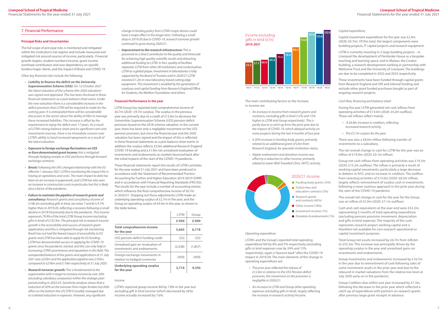

**'10/11 '11/12 '12/13 '13/14 '14/15 '15/16 '16/17 '17/18 '18/19 '19/20 '19/21**

The main contributing factors to the increase in income are:

- *• An increase in income from research grants and contracts, excluding gifts in kind (12% and 15% higher in LSTM and Group respectively). This is partly due to a catch up from the prior year due to the impact of COVID-19, which delayed activity on some projects during the last 4 months of last year.*
- *• A 20% increase in funding body grants, primarily related to an additional grant of £3m from Research England, for specialist institution status.*
- *• Higher endowment and donation income was offset by a reduction in other income, primarily related to lower Well Travelled Clinic (WTC) activity.*



*Operating expenditure*

LSTM's and the Group's reported total operating expenditure fell by 6% and 5% respectively (excluding gifts in kind expenses rose by 24% and 15% respectively), again a "bounce back" after the COVID-19 impact in 2019/20. The main elements of the change in operating expenditure are:

- *• The prior year reflected the release of £12.6m in relation to the USS Pension deficit provision, the movement on the provision is negligible in 2020/21.*
- *• An increase in LSTM and Group other operating expenses (excluding gifts in kind), largely reflecting the increase in research activity/income.*

#### *Capital expenditure*

Capital investment expenditure for the year was £2.4m (2020: £0.7m). Of this total, the largest components were building projects, IT capital projects and research equipment.

LSTM is currently investing in 2 large building projects – in Liverpool the development of Pembroke House as a bespoke teaching and learning space, and in Malawi, the Creator building, a research development working in partnership with Wellcome Trust and the University of Liverpool. The buildings are due to be completed in 2022 and 2023 respectively.

These investments have been funded through capital grants from Research England and OfS and internal funding and exclude other grant funded purchases bought as part of ongoing research projects.

#### *Cash flow, financing and balance sheet*

During the year LSTM generated net cash inflows from operating activities of £13.0m (2020: £4.2m outflow). These net inflows reflect mainly:

- *A £6.8m increase in creditors, reflecting increased research activity*
- *• The £5.7m surplus for the year*

There was also a £8.0m inflow following transfer of investments to a subsidiary.

The net overall change in cash for LSTM for the year was an inflow of £19.0m (2020: £0.1m inflow).

Group net cash inflows from operating activities was £19.3m (2020: £15.2m outflow). The inflow is primarily a result of working capital movements, particularly a large decrease in debtors in IVCC and an increase in creditors. The outflow from investing activities of £13.0m (2020: £8.5m inflow) largely reflects reinvestment of surplus cash in investments following a more cautious approach in the prior year during the start of the COVID-19 pandemic.

The overall net change in cash for the year for the Group was an inflow of £5.9m (2020: £7.1m outflow).

Cash and cash equivalents at the year-end were £52.2m, representing 5 months of total operating expenditure (excluding pension provision movement, depreciation and gifts in kind expense). The majority of this cash represents research project working capital and is therefore not available for non-research operational or capital investment purposes.

Total Group net assets increased by £6.7m from £48.6m to £55.3m. This increase was principally driven by the operating surplus in the year and unrealised gains on investments and endowments.

Group Investments and endowments increased by £16.7m in the year due to reinvestment of cash following sales of some investment assets in the prior year and due to the rebound in market valuations from the relative low level at July 2020 early on in the pandemic.

Group Creditors due within one year increased by £7.3m, following the decrease in the prior year which reflected a catch up of expenditure with partners on research grants after previous large grant receipts in advance.

#### 7. Financial Performance

#### **Principal Risks and Uncertainties**

The full scope of principal risks is monitored and mitigated within the institution's risk register and include measured and mitigated risk around sources of income, particularly : Financial growth targets, student numbers/income, grant income overhead contribution and over dependency on specific funders/major clients, and the impact of Brexit and COVID-19.

*Other key financial risks include the following:*

- *• Liability to finance the deficit on the University Superannuation Scheme (USS): On 1st October 2021 the latest valuation of the scheme (the 2020 valuation) was signed and approved. This has been disclosed in these financial statements as a post balance sheet event. Under the new valuation there is a considerable increase in the deficit provision that LSTM will be required to make for the coming year. It is anticipated there will be considerable discussion in the sector about the ability of HEIs to manage these increased liabilities. This increase is offset by the requirement to repay the deficit over 17 years. As a result of LSTM's strong balance sheet and its significant cash and investments reserves, there is no immediate concern over LSTM's ability to fund increased repayments as a result of the latest valuation.*
- *• Exposure to foreign exchange fluctuations on US\$ or Euro denominated grant income: this is mitigated through hedging receipts in US\$ and Euros through forward exchange contracts.*
- *• Brexit: Following the UK's changed relationship with the EU effective 1 January 2021 LSTM is monitoring the impact this is having on operations and costs. The main impact to date has been on an increase in paperwork, and LSTM has also seen an increase in construction costs in particular, but this is likely also a factor of the pandemic.*
- *• Failure to maintain the pipeline of research grants and consultancy: Research grants and consultancy income of £106.2m (excluding gifts in kind, see notes 7 and 8) is 9.7% higher than in 2019/20, reflecting a recovery following a small decline in 2019/20 primarily due to the pandemic. This income represents 79.9% of the total LSTM Group income (excluding gifts in kind) of £132.9m. The principal risk to research income growth is the accessibility and success of research grant applications and this is mitigated through risk monitoring. Brexit has not had the feared impact of accessibility to EU grants and LSTM has been able to apply for EU funding. LSTM has demonstrated success in applying for COVID-19 grants since the pandemic started, and this can only help in increasing LSTM's prominence and reputation in this field. The unexpended balance of live grants and applications at 31 July 2021 was £250m and the application pipeline was £105m, compared to £276m and £118m respectively at 31 July 2020.*
- *• Research turnover growth: This is fundamental to the organisation with a target to increase income by over 30% (excluding subsidiary companies) within the strategic plan period ending in 2022/23. Sensitivity analysis shows that a reduction of 20% on the turnover from major funders has little effect on the bottom line of LSTM if sensibly managed due to a related reduction in expenses. However, any significant*

*change in funding policy from LSTM's major donors could have a major effect in the longer term. Following a small drop in 2019/20 due to COVID-19, research turnover growth continued to grow during 2020/21.*

*• Improvement to the research infrastructure: This is perceived as a direct contributor to the quality and timescale for achieving high quality scientific results and attracting additional funding to LSTM. In fact, quality of facilities separates LSTM from other UK institutions and contextualises LSTM as a global player. Investment in laboratories is fully supported by the Board of Trustees and in 2020/21 LSTM invested £1.2m in new laboratory based cutting edge equipment. This investment is enabled by the generation of surpluses and capital funding from Research England/Office for Students, the Wolfson Foundation and others.*

#### **Financial Performance in the year**

LSTM Group has reported total comprehensive income of £6.7m (2020 : £9.7m surplus). The surplus in the previous year was primarily due to a credit of £12.6m to decrease the Universities Superannuation Scheme (USS) pension deficit provision based on the 2018 scheme valuation. In the current year, there has been only a negligible movement on the USS pension provision, but since the financial year end the 2020 valuation has been signed and the impact of this is reflected in these financial statements as a post balance sheet event. In addition the surplus reflects £3.0m additional Research England COVID-19 funding and a £1.9m net unrealised revaluation of investments and endowments as markets bounced back after the initial impacts of the start of the COVID-19 pandemic.

These financial statements report the results of LSTM's activities for the year ended 31 July 2021 and have been produced in accordance with the Statement of Recommended Practice: Accounting for Further and Higher Education 2019 (2019 SORP) and in accordance with Financial Reporting Standards (FRS102). The results for the year include a number of accounting entries which influence the final comprehensive income of £6.7m in 2020/21. Stripping out these adjustments LSTM made an underlying operating surplus of £2.7m in the year, and the Group an operating surplus of £4.4m in the year, as shown in the table below.

 $\mathbf{r}$ 

|                                                                 | <b>I STM</b> | Group   |
|-----------------------------------------------------------------|--------------|---------|
|                                                                 | £'000        | £'000   |
| <b>Total comprehensive income</b><br>for the year               | 5,665        | 6,718   |
| USS pension deficit funding credit                              | (52)         | (52)    |
| Unrealised gain on revaluation of<br>investments and endowments | (2.438)      | (1,857) |
| Foreign exchange movements in<br>relation to hedged currencies  | (459)        | (459)   |
| <b>Underlying operating surplus</b><br>for the year             | 2,716        | 4,350   |

*Income*

LSTM's reported group income fell by 7.8% in the year but excluding gift in kind income (which decreased by 26%) income actually increased by 7.6%.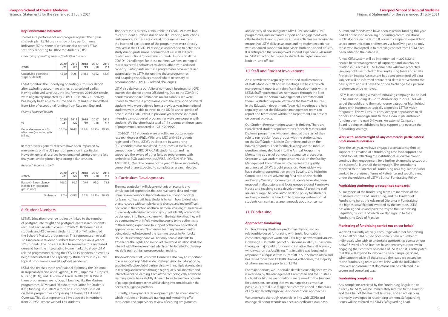and delivery of new integrated MPhil- PhD and MRes-PhD programmes, and increased support and engagement with off-site students and supervisors. These activities are required to ensure that LSTM delivers an outstanding student experience with enhanced support for supervisors both on-site and off-site. It is anticipated that an improved student experience will result in LSTM attracting high-quality students in higher numbers both on- and off-site.

#### 10. Staff and Student Involvement

An e-newsletter is regularly distributed to all members of staff. Monthly Staff Forum meetings are held at which management reports any significant developments within LSTM. Staff representatives nominated through the Staff Forum sit on the School's Management Committee and there is a student representative on the Board of Trustees. In the Education department, Town Hall meetings are held regularly so that the Education management team can report and teams from within the Department can present on current projects.

Our Student Representation system is thriving. There are two elected student representatives for each Masters and Diploma programme, who are trained at the start of their role to run regular focus groups with the students, lead on the Staff Student Liaison Committee and sit on the Boards of Studies. Their feedback, alongside the module questionnaires, also feed into the Annual Programme Monitoring as part of our quality assurance procedures. Separately, two student representatives sit on the Quality Management Committee, which oversees the quality assurance of LSTM's taught provision. More widely, we have student representation on the Equality and Inclusion Committee and are advertising for a role on the Health and Safety Oversight Committee. Students have also been engaged in discussions and focus groups around Pembroke House and teaching space development. All teaching staff are encouraged to have an 'open door' policy for students and we promote the Freedom to Speak up System so that students can contact us anonymously about concerns.

#### 11. Fundraising

#### **Approach to fundraising**

Our fundraising efforts are predominantly focused on relationship-based fundraising with trusts, foundations, corporates, high net worth and ultra-high net worth individuals. However, a substantial part of our income in 2020/21 has come through a major public fundraising initiative, Bump It Forward, which was run via JustGiving. This initiative was launched in response to a request from LSTM staff in Sub Saharan Africa and has raised more than £230,000 from 4,700 donors, the majority of whom are new supporters of LSTM.

For major donors, we undertake detailed due diligence which is overseen by the Management Committee and the Trustees. High risk or high value donations are referred to the Trustees for a decision, ensuring that we manage risk as much as possible. External due diligence is commissioned in the cases of any significantly high value or contentious approaches.

We undertake thorough research (in line with GDPR) and manage all donor records on a secure, dedicated database.

Alumni and friends who have been asked for funding this year had all opted in to receiving fundraising communications. Public donors via the Bump It Forward campaign were able to select communication preferences via JustGiving and so only those who had opted in to receiving contact from LSTM have been added to the database.

A new CRM system will be implemented in 2021/22 to enable better management of supporter and stakeholder relationships across LSTM. Donor data will have protected viewing rights restricted to the Fundraising team and a Data Protection Impact Assessment has been completed. All data subjects will be informed before their data is moved onto the new system and will have the option to change their personal preferences or be removed.

LSTM is undertaking a major fundraising campaign in the lead up to, and including, its 125th Anniversary in 2023. This will target the public and the major donor categories highlighted above with income strategically aligned to LSTM's vision for growth. This will ensure consistency in approaches to all donors. The campaign aims to raise £25m in philanthropic funding over the next 5-7 years. An external Campaign Board is being established to help support and oversee the fundraising strategy.

#### **Work with, and oversight of, any commercial participators/ professional fundraisers**

Over the last year, we have engaged a consultancy firm to support the creation of a fundraising case for a support and brand toolkit, reflecting the institutional vision. We plan to continue their engagement for a further six months to support the successful launch of the campaign. The consultants reported to the Director of Fundraising on a regular basis and worked to pre-agreed Terms of Reference and specific aims, under the guidance of LSTM's Ethical Fundraising Policy.

#### **Fundraising conforming to recognised standards**

All members of the fundraising team are members of the Chartered Institute of Fundraising, and the Director of Fundraising holds the Advanced Diploma in Fundraising, the highest qualification awarded by the Institute. LSTM has also signed up and paid the levy to the Fundraising Regulator, by virtue of which we also sign up to their Fundraising Code of Practice.

#### **Monitoring of fundraising carried out on our behalf**

We don't currently actively encourage volunteer fundraising on behalf of LSTM but do occasionally have a number of individuals who wish to undertake sponsorship events on our behalf. Several of the Trustees have been very supportive in engaging their contacts on behalf of LSTM and it is anticipated that this will expand to involve the new Campaign Board, when appointed. In all these cases, the leads are passed on to the Fundraising team and we liaise with the individuals involved, and ensure that donations can be collected in a secure and compliant way.

#### **Fundraising complaints**

Any complaints received by the Fundraising Regulator, or directly to LSTM, will be immediately referred to the Director and the Chair of the Board of Trustees, and an action plan promptly developed in responding to them. Safeguarding issues will be referred to LSTM's Safeguarding Lead.

#### **Key Performance Indicators**

To measure performance and progress against the 6 year strategic plan LSTM uses a range of key performance indicators (KPIs), some of which are also part of LSTM's statutory reporting to Office for Students (OfS).

*Underlying operating surplus/(deficit) in the year*

| £'000                                     | 2020  | 2019  | 2018  | 2017  | 2016  |
|-------------------------------------------|-------|-------|-------|-------|-------|
|                                           | 121   | /20   | /19   | /18   | /17   |
| Underlying operating<br>surplus/(deficit) | 4,350 | (428) | 3,882 | 4,392 | 1.827 |

LSTM monitors the underlying operating surplus or deficit after excluding accounting entries, as calculated earlier. Having achieved surpluses the last few years, 2019/20's results were negatively impacted by COVID-19. In 2020/21 activity has largely been able to resume and LSTM has also benefitted from £3m of exceptional funding from Research England.

#### *Overall financial health*

| $\frac{0}{0}$                                                      | 2020<br>121 | 2019<br>/20 | 2018<br>/19 | 2017<br>/18                   | 2016 |
|--------------------------------------------------------------------|-------------|-------------|-------------|-------------------------------|------|
| General reserves as a %<br>of income (excluding gifts)<br>in kind) | $20.8\%$    |             |             | 20.4%   12.6%   26.7%   29.5% |      |

In recent years general reserves have been impacted by movements on the USS pension provision in particular. However, general reserves have remained strong over the last few years, under-pinned by a strong balance sheet.

*Research income growth*

| £'m/%                                                             | 2020<br>/21 | 2019<br>/20 | 2018<br>/19 | 2017<br>/18   | 2016<br>/17 |
|-------------------------------------------------------------------|-------------|-------------|-------------|---------------|-------------|
| Research & consultancy<br>income £'m (excluding<br>gifts in kind) | 106.2       | 96.9        | 100.9       | 93.2          | 71.1        |
| % change                                                          | $9.6\%$     | $-3.9\%$    |             | $8.2\%$ 31.1% | 18.5%       |

#### 8. Student Numbers

LSTM's Education revenue is directly linked to the number of postgraduate taught and postgraduate research students recruited each academic year. In 2020/21, 87 home, 12 EU students and 42 overseas students (total of 141) attended the School's Masters programmes. This represents an overall 12% increase in student numbers from the previous year of 125 students. The increase is due to several factors: increased demand from the intercalating Home market to study LSTM related programmes during the COVID-19 pandemic as well as heightened interest and capacity by students to study LSTM's topical programmes amidst a global pandemic.

LSTM also teaches three professional diplomas, the Diploma in Tropical Medicine and Hygiene (DTMH), Diploma in Tropical Nursing (DTN), and Diploma in Travel Health (DTH). Whilst these programmes are not credit bearing, like the Masters programmes, DTMH and DTN do attract Office for Students (OfS) funding. In 2020/21 a total of 112 students studied on these programmes comprising 82 Home, 21 EU and 9 Overseas. This does represent a 36% decrease in numbers from 2019/20 where we had 174 students.

The decrease is directly attributable to COVID-19 as we had to cap student numbers due to social distancing restrictions. Furthermore, as these are clinical programmes, many of the intended participants of the programmes were directly involved in the COVID-19 response and needed to defer their study due to professional commitments as well as travel related restrictions for overseas students. In spite of all the COVID-19 challenges for these markets, we have managed to run successful cohorts of students, albeit with reduced capacity. Participants on these programmes have expressed appreciation to LSTM for running these programmes and adapting the delivery model where necessary to accommodate COVID-19 related challenges.

LSTM also delivers a portfolio of non-credit bearing short CPD courses that do not attract OfS funding. Due to the COVID-19 pandemic and space limitations on our campus, we were unable to offer these programmes with the exception of several students who were deferred from a previous year. International students were unable to travel to the UK for a short period of time due to COVID-19 but in previous years, these short and intensive campus-based programmes were very popular with students. We therefore had a total of 11 students on these types of programmes compared to 128 in 2019/20.

In 2020/21, 136 students were enrolled on postgraduate research degrees (PhD, MPhil and MD) with 69 students registered off site. LSTM's track record in supporting PGR candidates has translated into success in the latest competition for MRC DTP/CASE studentships and has supported the award of other funded programmes with embedded PGR studentships (ARISE, LIGHT, NIHR HPRU, AMETHIST). Over the course of the year, 23 have successfully completed or are expected to complete a research degree.

#### 9. Curriculum Developments

The new curriculum will place emphasis on scenario and simulation-led approaches that use real-world data and more immersive experiences that create more authentic contexts for learning. These will help students to learn how to deal with pressure, cope with complexity and change, and make difficult decisions in the context of ethical or moral challenges. To achieve this a newly established working group will identify scenarios to be designed into the curriculum with the intention that they will be augmented with infield video footage to bring authenticity to the learning experience. In support of the new educational approaches a specialist "Immersive Learning Environment" is being designed into one of the learning spaces in Pembroke House. This learning space will not only enable students to experience the sights and sounds of real world situations but also interact with the environment which can be targeted to develop key skills such as high pressure design making.

The development of Pembroke House will also play an important role in supporting LSTM's wider strategic vision for Education by enabling effective global partnerships with multiple stakeholders in teaching and research through high quality collaborative and interactive online learning. Each of the technologically advanced learning spaces has a slightly different focus to enable a rich mix of pedagogical approaches whilst taking into consideration the needs of our global partners.

Currently, a five-year PGR development plan has been drafted which includes an increased training and mentoring offer to students and supervisors, review of existing programmes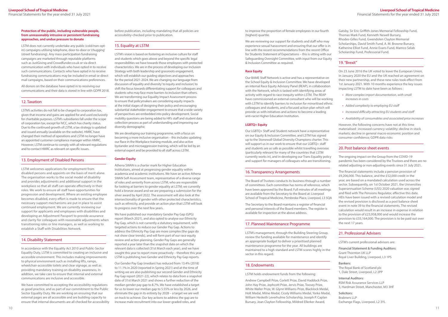to improve the proportion of female employees in our fourth (highest) quartile.

We are reviewing our support for students and staff who may experience sexual harassment and ensuring that our offer is in line with the recent recommendations from the recent Office for Students Statement of Expectations – this is sitting with our Safeguarding Oversight Committee, with input from our Equity & Inclusion Committee as required.

#### **Race Equity**

Our BAME Staff Network is active and has a representative on the School Equity & Inclusion Committee. We have developed an internal Race Equity Advisory Panel (REAP), in collaboration with the Network, which is tasked with identifying areas of activity with regard to race inequity within LSTM. The REAP have commissioned an external consultant who will be working with LSTM to identify barriers to inclusion for minoritised ethnic colleagues and students, and a focused action plan which will provide us with initiatives and actions to become a leading anti-racist Higher Education Institution.

#### **LGBTQ+ Equity**

Our LGBTQ+ Staff and Student network have a representative on our Equity & Inclusion Committee, and LSTM has signed up to the Stonewall Global Diversity Champions charter. This will support us in our work to ensure that our LGBTQ+ staff and students are as safe as possible whilst travelling overseas (particularly relevant for many of the countries that LSTM currently works in), and in developing our Trans Equality policy and support for managers of colleagues who are transitioning.

#### 16. Transparency Arrangements

The Board of Trustees conducts its business through a number of committees. Each committee has terms of reference, which have been approved by the Board. Full minutes of all meetings are available from the Secretary to the Board at: Liverpool School of Tropical Medicine, Pembroke Place, Liverpool, L3 5QA

The Secretary to the Board maintains a register of financial and personal interests of the Board members. The register is available for inspection at the above address.

#### 17. Planned Maintenance Programme

LSTM's management, through the Building Steering Group, review the funding available for maintenance and identify an appropriate budget to deliver a prioritised planned maintenance programme for the year. All buildings are maintained to a high standard and LSTM scores highly in the sector in this regard.

#### 18. Endowments

#### LSTM holds endowment funds from the following:

Andrew Campbell Prize, Corlett Prize, David Haddock Prize, John Hay Prize, Jephcott Prize, Jervis Prize, Toosey Prize, White Waller Prize, W. Glynn Williams Prize, Blacklock Medal, Holt Medal, Milne Medal, Cicely Williams Medal, Yorke Medal, William Hesketh Leverhulme Scholarship, Joseph P. Caplan Bursary, Jean Clayton Fellowship, Mildred Ellerker Award,

Gatsby, Sir Eric Griffith-Jones Memorial Fellowship Fund, Thomas Mark Fund, Kenneth Newell Bursary, Rhodes-Gilles Fund, Gwendolen Clayton Memorial Scholarships, David Smith Fund, A. M. Browne Bursary, Katherine Elliot Fund, Annie Evans Fund, Mamco Selab Scholarship Fund, Professorial Fund.

### 19. "Brexit"

On 23 June 2016 the UK voted to leave the European Union. In January 2020 the EU and the UK reached an agreement on their new partnership, and these new rules took effect from 1st January 2021. With 10 months experience the key issues impacting LSTM to date have been as follows :

- *• More complex import documentation, with small increases in costs*
- *• Added complexity to employing EU staff*
- *• Increased difficulty attracting EU students and staff*
- *• Availability of consumables and associated price increases*

However, the following concerns have not at this time materialised : increased currency volatility; decline in stock markets; decline in general macro-economic position and consumer confidence; GDPR data risks

#### 20. Post balance sheet events

The ongoing impact on the Group from the COVID-19 pandemic has been considered by the Trustees and there are no related adjusting or non-adjusting events since 31 July 2021.

The financial statements include a pension provision of £9,206,000. This balance, and the £52,000 credit in the year, are based on a mandated calculation used across the sector. Subsequently, on 1st October 2021, the Universities Superannuation Scheme (USS) 2020 valuation was signed and filed with The Pensions Regulator, effective this date. HEIs have been issued with a revised calculation model and the revised provision is disclosed as a post balance sheet event in note 39 to the financial statements. The revised calculation would result in an increase in expense in relation to the provision of £23,958,000 and would increase the provision to £33,164,000. The provision is to be paid out over the next 17 years.

#### 21. Professional Advisers

LSTM's current professional advisors are:

#### **Financial Statement & Funding Auditors:**

Grant Thornton UK LLP Royal Liver Building, Liverpool, L3 1PS

#### **Bankers:**

The Royal Bank of Scotland plc 1, Dale Street, Liverpool, L2 2PP

#### **Internal Auditors:**

RSM Risk Assurance Services LLP 3, Hardman Street, Manchester, M3 3HF

#### **Solicitors:**

Brabners LLP Exchange Flags, Liverpool, L2 3YL

#### **Protection of the public, including vulnerable people, from unreasonably intrusive or persistent fundraising approaches, and undue pressure to donate**

LSTM does not currently undertake any public (cold/non-optin) campaigns utilising telephone, door-to-door or 'chugging' (street fundraising). Any mass-participation fundraising campaigns are marketed through reputable platforms such as JustGiving and [Crowdfunder.co.uk](http://Crowdfunder.co.uk) or via direct communication with individuals who have opted in to receive such communications. Contacts who have opted in to receive fundraising communications may be included in email or direct mail campaigns, based on their communications preferences.

All donors on the database have opted in to receiving our communications and their data is stored in line with GDPR 2018.

#### 12. Taxation

LSTM's activities do not fall to be charged to corporation tax, given that income and gains are applied for and used exclusively for charitable purposes. LSTM's subsidiaries fall under the scope of corporation tax, except for IVCC, which has charity status. Due to the continued growth of LSTM, a tax strategy is updated and issued annually (available on the website). HMRC have changed their method of operations and LSTM no longer have an appointed customer compliance manager within HMRC. However, LSTM continue to comply with all relevant regulations and to contact HMRC as relevant on specific issues.

#### 13. Employment of Disabled Persons

LSTM welcomes applications for employment from disabled persons and appoints on the basis of merit alone. The organisation works to the social model of disability and provides adjustments and additional support in the workplace so that all staff can operate effectively in their roles. We work to ensure all staff have opportunities for progression and development. Where an existing employee becomes disabled, every effort is made to ensure that the necessary support mechanisms are put in place to assist continued employment. We are currently reviewing our support for applicants and employees with disabilities and developing an Adjustment Passport to provide assurance and clarity for colleagues with reasonable adjustments when transitioning roles or line managers, as well as working to establish a Staff with Disabilities Network.

#### 14. Disability Statement

In accordance with the Equality Act 2010 and Public-Sector Equality Duty, LSTM is committed to creating an inclusive and accessible environment. This includes making improvements to physical environment such as installing lifts, ramps, wheelchair-accessible toilets and clear signage, as well as providing mandatory training on disability awareness. In addition, we take care to ensure that internal and external communications are inclusive and accessible.

We have committed to accepting the accessibility regulations as good practice, and as part of our commitment to the Public Sector Equality Duty. We are working on ensuring that our external pages are all accessible and are building capacity to ensure that internal documents are all checked for accessibility before publication, including mandating that all policies are accessibility-checked prior to publication.

## 15. Equality at LSTM

LSTM's vision is based on fostering an inclusive culture for staff and students which goes above and beyond the specific legal responsibilities we have towards those employees with protected characteristics. We are in the process of developing our Inclusion Strategy with both leadership and grassroots engagement, which will establish our guiding objectives and approaches for the period 2021-2024. We are changing our language from discussion of 'equality and diversity' to 'equity and inclusion', to shift the focus towards differentiating support for colleagues and students who may face more barriers to inclusion than others. We are transforming our Equality Impact Assessment process to ensure that policymakers are considering equity impacts at the initial stages of designing their policy and encouraging substantial stakeholder engagement to ensure that a wide variety of perspectives are embedded into policy development. Social mobility questions are being added to HR's staff and student data collection process as part of understanding and improving our diversity demographic

We are developing our training programme, with a focus on becoming a more inclusive organisation – this includes updating our Race in the Workplace training module, and also active bystander and microaggression training, which will be led by an external expert and be provided to all staff across LSTM.

#### **Gender Equity**

Athena SWAN is a charter mark for Higher Education Institutions, aimed at progressing gender equality within academia and academic institutions. We have an active Athena SWAN Self-Assessment team, representative of a diverse range of roles and seniority from across LSTM, who are responsible for looking at barriers to gender equality at LSTM; we currently hold a bronze award and we are preparing a submission for the silver award by April 2022. The assessment will also look at the intersectionality of gender with other protected characteristics, such as ethnicity, and provide an action plan that LSTM will look to progress over the next few years.

We have published our mandatory Gender Pay Gap (GPG) report (March 2021), and also opted to analyse our Ethnicity Pay Gap, which is not currently a statutory requirement, with targeted actions to reduce our Gender Pay Gap. Actions to address the Ethnicity Pay Gap are more complex (the gaps do not show clear trends), and will form part of our race equity review and action planning. Gender Pay Gaps are generally reported a year later than the snapshot date on which the relevant data is collected (31st March each year), and we have sought this year to report more proactively – therefore this year LSTM is publishing two Gender and Ethnicity Pay Gap reports.

Our Gender Pay Gap (median) has reduced from 13.4% (2018) to 11.1% in 2020 (reported in Spring 2021) and at the time of writing we are also publishing our second Gender and Ethnicity Pay Gap report (2021-22), which relates to data from a snapshot date of 31st March 2021 and shows a further reduction of the median gender pay gap to 8.7%. We have established a target for us to lower our median gap to 5.55% or less by 2026, and eliminate the gap in its entirety by 2028 – a target we are well on track to achieve. Our key actions to address the gap are to increase male recruitment into our lower-graded roles, and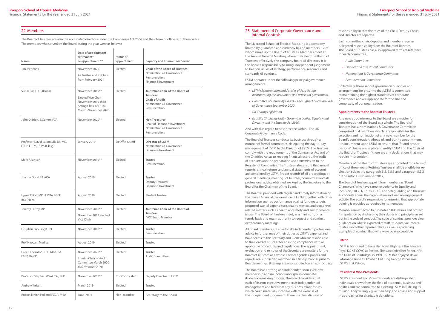Financial Statements for the year ended 31 July 2021

 $\mathbf{1}$ 

#### 23. Statement of Corporate Governance and Internal Controls

The Liverpool School of Tropical Medicine is a company limited by guarantee and currently has 63 members, 12 of whom make up the Board of Trustees. Members meet at the Annual General Meeting where they elect the Board of Trustees, effectively the company board of directors. It is the Board's responsibility to bring independent judgement to bear on issues of strategy, performance, resources and standards of conduct.

LSTM operates under the following principal governance arrangements:

- *• LSTM Memorandum and Articles of Association, incorporating the instrument and articles of government.*
- *• Committee of University Chairs The Higher Education Code of Governance September 2020*
- *• UK Charity Legislation*
- *• Equality Challenge Unit Governing bodies, Equality and Diversity and the Equality Act 2010.*

And with due regard to best practice within - The UK Corporate Governance Code.

The Board of Trustees conducts its business through a number of formal committees, delegating the day-to-day management of LSTM to the Director of LSTM. The Trustees comply with the requirements of the Companies Act and of the Charities Act as to keeping financial records, the audit of accounts and the preparation and transmission to the Register of Companies. The Trustees also ensure that annual reports, annual returns and annual statements of account are completed by LSTM. Proper records of all proceedings at general meetings, meetings of Trustees, committees and all professional advice obtained are kept by the Secretary to the Board for the Chairman of the Board.

The Board is provided with regular and timely information on the overall financial performance of LSTM together with other information such as performance against funding targets, proposed capital expenditure, quality matters and personnel related matters such as health and safety and environmental issues. The Board of Trustees meet, as a minimum, on a termly basis and retain authority to request and conduct extraordinary meetings.

All Board members are able to take independent professional advice in furtherance of their duties at LSTM's expense and have access to the Secretary and Clerk who are responsible to the Board of Trustees for ensuring compliance with all applicable procedures and regulations. The appointment, evaluation and removal of the Secretary are matters for the Board of Trustees as a whole. Formal agendas, papers and reports are supplied to members in a timely manner prior to Board meetings. Briefings are also supplied on an ad-hoc basis.

The Board has a strong and independent non-executive membership and no individual or group dominates its decision-making process. The Board considers that each of its non-executive members is independent of management and free from any business relationships, which could materially interfere with the exercise of the independent judgement. There is a clear division of

responsibility in that the roles of the Chair, Deputy Chairs, and Director are separate.

Each committee chair, deputies and members receive delegated responsibility from the Board of Trustees. The Board of Trustees has also approved terms of reference for each committee.

- *• Audit Committee*
- *• Finance and Investment Committee*
- *• Nominations & Governance Committee*
- *• Remuneration Committee*

Collectively, these set out governance principles and arrangements for ensuring that LSTM is committed to maintaining the highest standards of corporate governance and are appropriate for the size and complexity of our organisation.

#### **Appointments to the Board of Trustees**

Any new appointments to the Board are a matter for consideration of the Board as a whole. The Board of Trustees has a Nominations & Governance Committee comprised of 4 members which is responsible for the selection and nomination of any new member for the Board's consideration. Ahead of, and during appointment, it is incumbent upon LSTM to ensure that "fit and proper persons" checks are in place to notify LSTM and the Chair of the Board of Trustees if there are any declarations that may require intervention.

Members of the Board of Trustees are appointed for a term of office of three years. Retiring Trustees shall be eligible for reelection subject to paragraph 5.5, 5.5.1 and paragraph 5.5.2 of the Articles (November 2017).

The Board of Trustees appoint four members as "Board Champions" who have career experience in Equality and Inclusion, PREVENT duty, GDPR and Safeguarding and these act as conduits across the organisation and lead on engagement activity. The Board is responsible for ensuring that appropriate training is provided as required to its members.

Members are expected to promote LSTM's values and protect its reputation by discharging their duties and principles as set out in the code of conduct. The code of conduct provides clear guidance on what is expected of staff, students, volunteers, trustees and other representatives, as well as providing examples of conduct that will always be unacceptable.

#### **Patron**

LSTM is honoured to have Her Royal Highness The Princess Royal KG KT GCVO as Patron. She succeeded her father, HRH the Duke of Edinburgh, in 1991. LSTM has enjoyed Royal Patronage since 1932 when HM King George VI became LSTM's first Patron.

### **President & Vice-Presidents**

LSTM's President and Vice-Presidents are distinguished individuals drawn from the field of academia, business and politics and are committed to assisting LSTM in fulfilling its mission. They willingly give their help and advice and support in approaches for charitable donations.

#### 22. Members

The Board of Trustees are also the nominated directors under the Companies Act 2006 and their term of office is for three years. The members who served on the Board during the year were as follows:

| Name                                                           | Date of appointment<br>retirement*<br>re-appointment **                                                            | Status of<br>appointment | <b>Capacity and Committees Served</b>                                                                                           |
|----------------------------------------------------------------|--------------------------------------------------------------------------------------------------------------------|--------------------------|---------------------------------------------------------------------------------------------------------------------------------|
| Jim McKenna                                                    | November 2020<br>As Trustee and as Chair<br>from February 2021                                                     | Elected                  | <b>Chair of the Board of Trustees</b><br>Nominations & Governance<br>Remuneration<br>Finance & Investment                       |
| Sue Russell LLB (Hons)                                         | November 2019**<br><b>Elected Vice Chair</b><br>November 2019 then<br>Acting Chair of LSTM<br>March -November 2020 | Elected                  | <b>Joint Vice Chair of the Board of</b><br><b>Trustees</b><br><b>Chair of Audit</b><br>Nominations & Governance<br>Remuneration |
| John O'Brien, B.Comm, FCA                                      | November 2020**                                                                                                    | Elected                  | <b>Hon Treasurer</b><br>Chair of Finance & Investment<br>Nominations & Governance<br>Remuneration                               |
| Professor David Lalloo MB, BS, MD,<br>FRCP, FFTM, RCPS (Glasg) | January 2019                                                                                                       | Ex Officio/staff         | <b>Director of LSTM</b><br>Nominations & Governance<br>Finance & Investment                                                     |
| Mark Allanson                                                  | November 2019**                                                                                                    | Elected                  | Trustee<br>Remuneration                                                                                                         |
| Joanne Dodd BA ACA                                             | August 2019                                                                                                        | Elected                  | Trustee<br>Deputy Treasurer<br>Finance & Investment                                                                             |
| Lynne Elliott MPhil MBA PGCE<br>BSc (Hons)                     | August 2020                                                                                                        | Elected                  | <b>Student Trustee</b>                                                                                                          |
| Jeremy Lefroy MP                                               | November 2018**<br>November 2019 elected<br>Vice Chair                                                             | Elected                  | <b>Joint Vice Chair of the Board of</b><br><b>Trustees</b><br><b>IVCC Board Member</b>                                          |
| Dr Julian Lob-Levyt CBE                                        | November 2018**                                                                                                    | Elected                  | Trustee<br>Remuneration                                                                                                         |
| Prof Nyovani Madise                                            | August 2019                                                                                                        | Elected                  | Trustee                                                                                                                         |
| Eileen Thornton, CBE, MEd, BA,<br>FCSP, DipTP                  | November 2020**<br>Interim Chair of Audit<br>Committee March 2020<br>to November 2020                              | Elected                  | Trustee<br><b>Audit Committee</b>                                                                                               |
| Professor Stephen Ward BSc, PhD                                | November 2018**                                                                                                    | Ex Officio / staff       | Deputy Director of LSTM                                                                                                         |
| Andrew Wright                                                  | <b>March 2019</b>                                                                                                  | Elected                  | Trustee                                                                                                                         |
| Robert Einion Holland FCCA, MBA                                | June 2001                                                                                                          | Non-member               | Secretary to the Board                                                                                                          |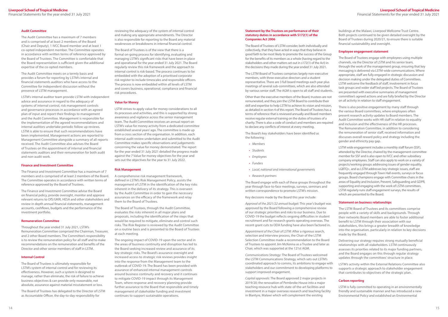#### **Statement by the Trustees on performance of their statutory duties in accordance with S172(1) of the Companies Act 2006**

The Board of Trustees of LSTM consider, both individually and collectively, that they have acted in ways that they believe in good faith to be most likely to promote the success of the Group for the benefits of its members as a whole (having regard to the stakeholders and other matters set out in s172(1) of the Act) in the decisions they made during the year ended 31 July 2021.

The LSTM Board of Trustees comprises largely non-executive members, with three executive directors and a student representative. There are 3 full board meetings each year plus meetings of several sub-committees, which are also attended by various senior staff. The AGM is open to all staff and students.

Other than the executive members of the Board, trustees are not remunerated, and they join the LSTM Board to contribute their skill and expertise to help LSTM to achieve its vision and mission, as detailed in section 4 of this report. The Board of Trustees has a terms of reference that is reviewed annually and Board members receive regular external training on the duties of trustees of a charity. There is also a code of conduct and members are required to declare any conflicts of interest at every meeting.

The Board's key stakeholders have been identified as the following :

- *• Members*
- *• Students*
- *• Employees*
- *• Funders*
- *• Local, national and international governments*
- *• Research partners*

The Board engage with each of these groups throughout the year through face-to-face meetings, surveys, seminars and written correspondence to promote LSTM's mission.

Key decisions made by the Board this year include:

*Approval of the 2021/22 annual budget:* This year's budget was approved by the Board following a comprehensive review of our strategic priorities and risks to our business. Due to COVID-19 the budget reflects ongoing difficulties in student recruitment and for research grants operating overseas. The recent grant cuts to ODA funding have also been factored in.

*Appointment of the Chair of LSTM:* After a rigorous search, selection and interview process, the Chair of the LSTM Selection Committee made a recommendation to the Board of Trustees to appoint Jim McKenna as a Trustee and later as Chair, which was supported at the 121st AGM.

*Communications Strategy:* The Board of Trustees welcomed the LSTM Communications Strategy, which sets out LSTM's coordinated approach to comms, its ambitions to engage with stakeholders and our commitment to developing platforms to support improved engagement.

*Capital approvals:* The Board approved 2 major projects in 2019/20; the renovation of Pembroke House into a major teaching resource hub with state-of-the-art facilities and investment in a major overseas research and teaching facility in Blantyre, Malawi which will complement the existing

buildings at the Malawi, Liverpool Wellcome Trust Centre. Both projects continued to be given detailed oversight by the Board of Trustees during 2020/21, to ensure there is suitable financial sustainability and oversight.

#### **Employee engagement statement**

The Board of Trustees engage with employees using multiple channels, via the Director of LSTM and his senior team, through the work of the management group, ensuring that key messaging is delivered via LSTM-wide communications. Where appropriate, staff are fully engaged in strategic discussion and decision making under the delegated duties of Committees. LSTM welcome the feedback of staff, involvement in focus task groups and wider staff led projects. The Board of Trustees are presented with executive summaries of management committee's agreed actions and are fully briefed by the Director on all activity in relation to staff engagement.

There is also positive engagement by many staff through the various Board committees, where employees often present research activity updates to Board members. The Audit Committee works with HR staff in relation to equality and inclusion and the effectiveness of the HR processes. The Remuneration Committee, in addition to considering the remuneration of senior staff, received information and discusses overall reward policy and strategy including the gender and ethnicity pay gap.

LSTM wide engagement includes a monthly staff forum (SSF), attended by the Director, chaired by the management committee member for SSF and is also open to IVCC and other subsidiary company employees. Staff can also apply to work on a variety of projects/working groups addressing issues of gender equality, LGBTQ+, and as LSTM addresses key strategic issues, staff are frequently engaged through Town Hall events, surveys or focus groups. Board champions engage with Committee chairs in the areas of Equality and Inclusion, Prevent, Safeguarding and GDPR, supporting and engaging with the work of LSTM committees. LSTM regularly runs staff engagement surveys, the results of which are presented to the Board.

#### **Statement on business relationships**

The LSTM Board of Trustees and its committees comprise people with a variety of skills and backgrounds. Through their networks Board members are able to foster additional benefit to LSTM through their association with our stakeholders, this brings a greater breadth of knowledge into the organisation, particularly in relation to key decisions made by the Board.

Delivering our strategy requires strong mutually beneficial relationships with all stakeholders. LSTM continuously assesses its priorities related to its major funding partners, and the Board engages on this through regular strategy updates through the committees' structure in place.

LSTM's activity within the External Relations Committee also supports a strategic approach to stakeholder engagement that contributes to objectives of the strategic plan.

#### **Carbon reporting**

LSTM is fully committed to operating in an environmentally friendly and sustainable manner and has introduced a new Environmental Policy and established an Environmental

#### **Audit Committee**

The Audit Committee has a maximum of 7 members and is comprised of at least 2 members of the Board (Chair and Deputy), 1 IVCC Board member and at least 1 co-opted independent member. The Committee operates in accordance with written terms of reference approved by the Board of Trustees. The Committee is comfortable that the Board representation is sufficient given the additional expertise of the co-opted members.

The Audit Committee meets on a termly basis and provides a forum for reporting by LSTM's internal and financial statements auditors who have access to the Committee for independent discussion without the presence of LSTM management.

LSTM's internal auditor team provide LSTM with independent advice and assurance in regard to the adequacy of systems of internal control, risk management controls and governance processes in accordance with an agreed plan of input and report their findings to management and the Audit Committee. Management is responsible for the implementation of the agreed recommendations and internal auditors undertake periodic follow up reviews. LSTM is able to ensure that such recommendations have been implemented. Management actions are reported to Management Committee alongside a summary of all reports received. The Audit Committee also advises the Board of Trustees on the appointment of internal and financial statements auditors and their remuneration for both audit and non-audit work.

#### **Finance and Investment Committee**

The Finance and Investment Committee has a maximum of 7 members and is comprised of at least 2 members of the Board. The Committee operates in accordance with written terms of reference approved by the Board of Trustees.

The Finance and Investment Committee advise the Board on financial policy, provide oversight, monitor and approve relevant returns to OfS/UKRI, HESA and other stakeholders and review in depth annual financial statements, management accounts, cashflows, budgets and the performance of the investment portfolio.

#### **Remuneration Committee**

Throughout the year ended 31 July 2021, LSTM's Remuneration Committee comprised the Chairman, Treasurer, and 2 other Board members. The Committee's responsibility is to review the remuneration policy for all staff and to make recommendations on the remuneration and benefits of the Director and other senior members of staff in LSTM.

#### **Internal Control**

The Board of Trustees is ultimately responsible for LSTM's system of internal control and for reviewing its effectiveness. However, such a system is designed to manage, rather than eliminate, the risk of failure to achieve business objectives & can provide only reasonable, not absolute, assurance against material misstatement or loss.

The Board of Trustees has delegated to the Director of LSTM as Accountable Officer, the day-to-day responsibility for

reviewing the adequacy of the system of internal control and making any appropriate amendments. The Director is also responsible for reporting to the Board any material weaknesses or breakdowns in internal financial control.

The Board of Trustees is of the view that there is a formal on-going process for identifying, evaluating and managing LSTM's significant risks that have been in place and operational for the year ended 31 July 2021. The Board regularly review this risk framework and the approach to internal control is risk-based. The process continues to be embedded with the adoption of a prioritised corporate risk register to include timescales and responsible officers. The process is now embedded within all levels of LSTM and covers business, operational, compliance and financial risk procedures.

#### **Value for Money**

LSTM strives to apply value for money considerations to all its processes and activities, and this is supported by strong awareness and vigilance across the senior management team. The Audit Committee receives an annual report on LSTM's value for money activity from a dedicated committee established several years' ago. The committee is made up from a cross section of the organisation. In addition, each internal audit review undertaken and submitted to the Audit Committee makes specific observations and judgements concerning the value for money demonstrated. The report for the year ended 31 July 2021 detailed the progress made against the 7 Value for money objectives for the year and sets out the objectives for the year to 31 July 2022.

#### **Risk Management**

A comprehensive risk management framework, defined in LSTM's Risk Management Policy, assists the management of LSTM in the identification of the key risks inherent in the delivery of its strategy. This is overseen by the Audit Committee in order to gain the necessary assurances on the efficacy of the framework and relay them to the Board of Trustees.

The Board of Trustees, through the Audit Committee, evaluates the risks inherent in all major plans and proposals, including the identification of the steps that would be required to mitigate, eliminate and control such risks. The Risk Register is reviewed by the Audit Committee on a routine basis and is presented to the Board of Trustees at each meeting.

The ongoing impact of COVID-19 upon the sector and in the areas of business continuity and disruption has led to the Board seeking increased review and assurance of its key strategic risks. The Board's assurance oversight and increased access to strategic risk reviews provides insight into the response from the Management team to the outbreak of COVID-19. The Board has been provided with assurance of enhanced internal management controls around business continuity and recovery and it continues to mitigate COVID-19 impact through its Management Team, where response and recovery planning provide further assurance to the Board that responsible and timely management of stakeholder funding and investment continues to support sustainable operations.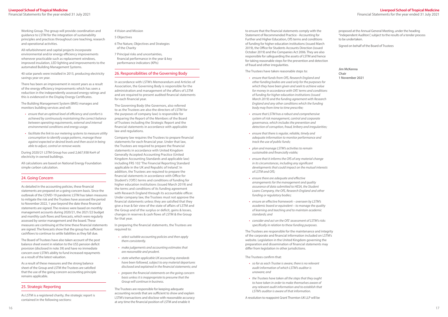to ensure that the financial statements comply with the Statement of Recommended Practice - Accounting for Further and Higher Education, OfS terms and conditions of funding for higher education institutions (issued March 2019), the Office for Students Accounts Direction (issued October 2019) and the Companies Act 2006. They are also responsible for safeguarding the assets of LSTM and hence for taking reasonable steps for the prevention and detection of fraud and other irregularities.

#### The Trustees have taken reasonable steps to:

- *• ensure that funds from OfS, Research England and other funding bodies are used only for the purposes for which they have been given and seek to achieve value for money in accordance with OfS' terms and conditions of funding for higher education institutions (issued March 2019) and the funding agreement with Research England and any other conditions which the funding body may from time to time prescribe;*
- *• ensure that LSTM has a robust and comprehensive system of risk management, control and corporate governance, which includes the prevention and detection of corruption, fraud, bribery and irregularities;*
- *• ensure that there is regular, reliable, timely and adequate information to monitor performance and track the use of public funds;*
- *• plan and manage LSTM's activities to remain sustainable and financially viable;*
- *• ensure that it informs the OfS of any material change in its circumstances, including any significant developments that could impact on the mutual interests of LSTM and OfS;*
- *• ensure there are adequate and effective arrangements for the management and quality assurance of data submitted to HESA, the Student Loans Company, the OfS, Research England and other funding or regulatory bodies;*
- *• ensure an effective framework overseen by LSTM's academic board or equivalent – to manage the quality of learning and teaching and to maintain academic standards; and*
- *• consider and act on the OfS' assessment of LSTM's risks specifically in relation to these funding purposes.*

The Trustees are responsible for the maintenance and integrity of the corporate and financial information included on LSTM's website. Legislation in the United Kingdom governing the preparation and dissemination of financial statements may differ from legislation in other jurisdictions.

The Trustees confirm that:

- *• so far as each Trustee is aware, there is no relevant audit information of which LSTM's auditor is unaware; and*
- *• the Trustees have taken all the steps that they ought to have taken in order to make themselves aware of any relevant audit information and to establish that LSTM's auditor is aware of that information.*

A resolution to reappoint Grant Thornton UK LLP will be

proposed at the Annual General Meeting, under the heading "Independent Auditors", subject to the results of a tender process to be undertaken.

Signed on behalf of the Board of Trustees

**Jim McKenna Chair 1 November 2021**

Working Group. The group will provide coordination and guidance to LSTM for the integration of sustainability principles and practices throughout core teaching, research and operational activities.

All refurbishment and capital projects incorporate environmental and/or energy efficiency improvements whenever practicable such as replacement windows, improved insulation, LED lighting and improvements to the automated Building Management Systems.

40 solar panels were installed in 2015, producing electricity savings year on year.

There has been an improvement in recent years as a result of the energy efficiency improvements which has seen a reduction in the independently assessed energy ratings and this is evidenced in the Display Energy Certificates.

> In preparing the financial statements, the Trustees are required to:

The Building Management System (BMS) manages and monitors building services and will:

- *• ensure that an optimal level of efficiency and comfort is achieved by continuously maintaining the correct balance between operating requirements, external and internal environmental conditions and energy usage.*
- *• facilitate the link to our metering systems to measure utility consumption to identify usage patterns, manage these against expected or desired levels and then assist in being able to adjust, control or remove waste.*

During 2020/21 LSTM Group has used 2,667,938 KwH of electricity in owned buildings.

All calculations are based on National Energy Foundation simple carbon calculation.

### 24. Going Concern

As detailed in the accounting policies, these financial statements are prepared on a going concern basis. Since the outbreak of the COVID-19 pandemic LSTM has taken measures to mitigate the risk and the Trustees have assessed the period to November 2022, 1 year beyond the date these financial statements are signed. The reviews were based on monthly management accounts during 2020/21, the 2021/22 budget and monthly cash flows and forecasts, which were regularly assessed by senior management and the board. These measures are continuing at the time these financial statements are signed. The forecasts show that the group has sufficient cashflows to continue to settle liabilities as they fall due.

The Board of Trustees have also taken account of the post balance sheet event in relation to the USS pension deficit provision (disclosed in note 39) and have no immediate concern over LSTM's ability to fund increased repayments as a result of the latest valuation.

As a result of these measures and the strong balance sheet of the Group and LSTM the Trustees are satisfied that the use of the going concern accounting principle remains applicable.

#### 25. Strategic Reporting

As LSTM is a registered charity, the strategic report is contained in the following sections:

4 Vision and Mission

#### 5 Objectives

- 6 The Nature, Objectives and Strategies of the Charity
- 7 Principal risks and uncertainties, financial performance in the year & key performance indicators (KPIs)

#### 26. Responsibilities of the Governing Body

In accordance with LSTM's Memorandum and Articles of Association, the Governing Body is responsible for the administration and management of the affairs of LSTM and are required to present audited financial statements for each financial year.

The Governing Body (the Governors, also referred to as the Trustees are also the directors of LSTM for the purposes of company law) is responsible for preparing the Report of the Members of the Board of Trustees including the Strategic Report and the financial statements in accordance with applicable law and regulations.

Company law requires the Trustees to prepare financial statements for each financial year. Under that law, the Trustees are required to prepare the financial statements in accordance with United Kingdom Generally Accepted Accounting Practice (United Kingdom Accounting Standards and applicable law) including FRS 102 'The Financial Reporting Standard applicable in the UK and Republic of Ireland'. In addition, the Trustees are required to prepare the financial statements in accordance with Office for Student's ('OfS') terms and conditions of funding for higher education institutions (issued March 2019) and the terms and conditions of its funding agreement with Research England through its accountable officer. Under company law, the Trustees must not approve the financial statements unless they are satisfied that they give a true & fair view of the state of affairs of LSTM and the Group and of the surplus or deficit, gains & losses, changes in reserves & cash flows of LSTM & the Group for that year.

- *• select suitable accounting policies and then apply them consistently.*
- *• make judgements and accounting estimates that are reasonable and prudent.*
- *• state whether applicable UK accounting standards have been followed, subject to any material departures disclosed and explained in the financial statements; and*
- *• prepare the financial statements on the going concern basis unless it is inappropriate to presume that the Group will continue in business.*

The Trustees are responsible for keeping adequate accounting records that are sufficient to show and explain LSTM's transactions and disclose with reasonable accuracy at any time the financial position of LSTM and enable it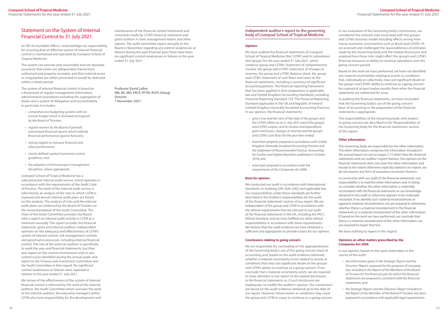## <span id="page-9-0"></span>Statement on the System of Internal Financial Control to 31 July 2021

As HEI Accountable Officer, I acknowledge my responsibility for ensuring that an effective system of internal financial control is maintained and operated by Liverpool School of Tropical Medicine.

The system can provide only reasonable and not absolute, assurance that assets are safeguarded, transactions authorised and properly recorded, and that material errors or irregularities are either prevented or would be detected within a timely period.

The system of internal financial control is based on a framework of regular management information, administrative procedures including the segregation of duties and a system of delegation and accountability. In particular, it includes:

- *• comprehensive budgeting systems with an annual budget which is reviewed and agreed by the Board of Trustees;*
- *• regular reviews by the Board of periodic and annual financial reports which indicate financial performance against forecasts;*
- *• setting targets to measure financial and other performance;*
- *• clearly defined capital investment control guidelines; and*
- *• the adoption of formal project management disciplines, where appropriate.*

Liverpool School of Tropical Medicine has a subcontracted internal audit service, which operates in accordance with the requirements of the Audit Code of Practice. The work of the internal audit service is informed by an analysis of the risks to which LSTM is exposed and annual internal audit plans are based on this analysis. The analysis of risks and the internal audit plans are endorsed by the Board of Trustees on the recommendation of the Audit Committee. The Chair of the Audit Committee provides the Board with a report on internal audit activity in LSTM at a minimum annually. The report includes the financial statement, grant and internal auditors' independent opinions on the adequacy and effectiveness of LSTM's system of internal control, risk management controls and governance processes, including internal financial control. The role of the external auditors is specifically to audit the year end financial statements, but they also report on the control environment and on any control issues identified during the annual audit, and report to the Finance and Investment Committee and the Audit Committee in that regard. No significant control weaknesses or failures were reported in relation to the year ended 31 July 2021.

We have audited the financial statements of Liverpool School of Tropical Medicine (the 'LSTM') and its subsidiaries (the 'group') for the year ended 31 July 2021, which comprise group and LSTM's Statement of comprehensive income, the group and LSTM's Statement of changes in reserves, the group and LSTM's Balance sheet, the group and LSTM's Statement of cash flows and notes to the financial statements, including a summary of significant accounting policies. The financial reporting framework that has been applied in their preparation is applicable law and United Kingdom Accounting Standards, including Financial Reporting Standard 102 'The Financial Reporting Standard applicable in the UK and Republic of Ireland' (United Kingdom Generally Accepted Accounting Practice). In our opinion, the financial statements:

My review of the effectiveness of the system of internal financial control is informed by the work of the internal auditors, the Audit Committee which oversees the work of the internal auditors, the executive managers within LSTM who have responsibility for the development and

maintenance of the financial control framework and comments made by LSTM's financial statement and grant auditors in their management letters and other reports. The audit committee report annually to the Board in November regarding any control weaknesses or failures during the past financial year; there have been no significant control weaknesses or failures in the year ended 31 July 2021.

> We are responsible for concluding on the appropriateness of the Governing body's use of the going concern basis of accounting and, based on the audit evidence obtained, whether a material uncertainty exists related to events or conditions that may cast significant doubt on the group's and LSTM's ability to continue as a going concern. If we conclude that a material uncertainty exists, we are required to draw attention in our report to the related disclosures in the financial statements or, if such disclosures are inadequate, to modify the auditor's opinion. Our conclusions are based on the audit evidence obtained up to the date of our report. However, future events or conditions may cause the group and LSTM to cease to continue as a going concern.

**Professor David Lalloo MB, BS, MD, FRCP, FFTM, RCPS (Glasg) Director 1 November 2021**

#### Independent auditor's report to the governing body of Liverpool School of Tropical Medicine

#### **Opinion**

- *• give a true and fair view of the state of the group's and the LSTM's affairs as at 31 July 2021 and of the group's and LSTM's surplus, and its income and expenditure, gains and losses, changes in reserves and the group's and LSTM's cash flows for the year then ended;*
- *• have been properly prepared in accordance with United Kingdom Generally Accepted Accounting Practice and the Statement of Recommended Practice: Accounting for Further and Higher Education published in October 2018; and*
- *• have been prepared in accordance with the requirements of the Companies Act 2006.*

#### **Basis for opinion**

We conducted our audit in accordance with International Standards on Auditing (UK) (ISAs (UK)) and applicable law. Our responsibilities under those standards are further described in the 'Auditor's responsibilities for the audit of the financial statements' section of our report. We are independent of the group and LSTM in accordance with the ethical requirements that are relevant to our audit of the financial statements in the UK, including the FRC's Ethical Standard, and we have fulfilled our other ethical responsibilities in accordance with these requirements. We believe that the audit evidence we have obtained is sufficient and appropriate to provide a basis for our opinion.

#### **Conclusions relating to going concern**

In our evaluation of the Governing body's conclusions, we considered the inherent risks associated with the group's and LSTM's business model including effects arising from macro-economic uncertainties such as Brexit and COVID-19, we assessed and challenged the reasonableness of estimates made by the Governing body and the related disclosures and analysed how those risks might affect the group's and LSTM's financial resources or ability to continue operations over the going concern period.

Based on the work we have performed, we have not identified any material uncertainties relating to events or conditions that, individually or collectively, may cast significant doubt on the group's and LSTM's ability to continue as a going concern for a period of at least twelve months from when the financial statements are authorised for issue.

In auditing the financial statements, we have concluded that the Governing body's use of the going concern basis of accounting in the preparation of the financial statements is appropriate.

The responsibilities of the Governing body with respect to going concern are described in the 'Responsibilities of the Governing body for the financial statements' section of this report.

#### **Other information**

The Governing body are responsible for the other information. The other information comprises the information included in the annual report set out on pages 2-15 other than the financial statements and our auditor's report thereon. Our opinion on the financial statements does not cover the other information and, except to the extent otherwise explicitly stated in our report, we do not express any form of assurance conclusion thereon.

In connection with our audit of the financial statements, our responsibility is to read the other information and, in doing so, consider whether the other information is materially inconsistent with the financial statements or our knowledge obtained in the audit or otherwise appears to be materially misstated. If we identify such material inconsistencies or apparent material misstatements, we are required to determine whether there is a material misstatement in the financial statements or a material misstatement of the other information. If, based on the work we have performed, we conclude that there is a material misstatement of this other information, we are required to report that fact.

We have nothing to report in this regard.

#### **Opinions on other matters prescribed by the Companies Act 2006**

In our opinion, based on the work undertaken in the course of the audit:

- *• the information given in the Strategic Report and the Directors' Report, prepared for the purposes of company law, included in the Report of the Members of the Board of Trustees for the financial year for which the financial statements are prepared is consistent with the financial statements; and*
- *• the Strategic Report and the Directors' Report included in the Report of the Members of the Board of Trustees has been prepared in accordance with applicable legal requirements.*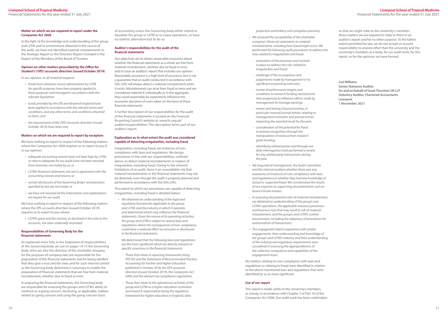#### **Matter on which we are required to report under the Companies Act 2006**

In the light of the knowledge and understanding of the group and LSTM and its environment obtained in the course of the audit, we have not identified material misstatements in the Strategic Report or the Directors' Report included in the Report of the Members of the Board of Trustees.

#### **Opinion on other matters prescribed by the Office for Student's ('OfS') accounts direction (issued October 2019)**

In our opinion, in all material respects:

- *• funds from whatever source administered by LSTM for specific purposes have been properly applied to those purposes and managed in accordance with the relevant legislation;*
- *• funds provided by the OfS and Research England have been applied in accordance with the relevant terms and conditions, and any other terms and conditions attached to them, and*
- *• the requirements of the OfS's accounts direction (issued October 2019) have been met.*

#### **Matters on which we are required to report by exception**

We have nothing to report in respect of the following matters where the Companies Act 2006 requires us to report to you if, in our opinion:

- *• adequate accounting records have not been kept by LSTM, or returns adequate for our audit have not been received from branches not visited by us; or*
- *• LSTM's financial statements are not in agreement with the accounting records and returns; or*
- *• certain disclosures of the Governing Body's remuneration specified by law are not made; or*
- *• we have not received all the information and explanations we require for our audit.*

We have nothing to report in respect of the following matters where the OfS accounts direction (issued October 2019) requires us to report to you where:

*• LSTM's grant and fee income, as disclosed in the note to the accounts, has been materially misstated*

#### **Responsibilities of Governing Body for the financial statements**

As explained more fully in the Statement of responsibilities of the Governing body set out on pages 14-15 the Governing body (who are also the directors of the charitable company for the purposes of company law) are responsible for the preparation of the financial statements and for being satisfied that they give a true and fair view, and for such internal control as the Governing body determine is necessary to enable the preparation of financial statements that are free from material misstatement, whether due to fraud or error.

In preparing the financial statements, the Governing body are responsible for assessing the group's and LSTM's ability to continue as a going concern, disclosing, as applicable, matters related to going concern and using the going concern basis

of accounting unless the Governing body either intend to liquidate the group or LSTM or to cease operations, or have no realistic alternative but to do so.

#### **Auditor's responsibilities for the audit of the financial statements**

Our objectives are to obtain reasonable assurance about whether the financial statements as a whole are free from material misstatement, whether due to fraud or error, and to issue an auditor's report that includes our opinion. Reasonable assurance is a high level of assurance, but is not a guarantee that an audit conducted in accordance with ISAs (UK) will always detect a material misstatement when it exists. Misstatements can arise from fraud or error and are considered material if, individually or in the aggregate, they could reasonably be expected to influence the economic decisions of users taken on the basis of these financial statements.

A further description of our responsibilities for the audit of the financial statements is located on the Financial Re porting Council's website at: [www.frc.org.uk/](http://www.frc.org.uk/auditorsresponsibilities) [auditorsresponsibilities.](http://www.frc.org.uk/auditorsresponsibilities) This description forms part of our auditor's report.

#### **Explanation as to what extent the audit was considered capable of detecting irregularities, including fraud**

Irregularities, including fraud, are instances of noncompliance with laws and regulations. We design procedures in line with our responsibilities, outlined above, to detect material misstatements in respect of irregularities, including fraud. Owing to the inherent limitations of an audit, there is an unavoidable risk that material misstatements in the financial statements may not be detected, even though the audit is properly planned and performed in accordance with the ISAs (UK).

The extent to which our procedures are capable of detecting irregularities, including fraud is detailed below:

*• We obtained an understanding of the legal and regulatory frameworks applicable to the group and LSTM, and the industry in which it operates and determined which may influence the financial statements. Given the nature of its operating activities, the group and LSTM is subject to several laws and regulations where the consequences of non-compliance could have a material effect on amounts or disclosures in the financial statements.*

*We determined that the following laws and regulations are the most significant which are directly relevant to specific assertions in the financial statements:*

- *- Those that relate to reporting frameworks being FRS102 and the Statement of Recommended Practice: Accounting for Further and Higher Education published in October 2018, the OFS accounts direction (issued October 2019), the Companies Act 2006 and the relevant tax compliance regulations.*
- *- Those that relate to the operational activities of the group and LSTM as a higher education institution and research organisation being the regulatory framework for higher education in England, data*

*protection and bribery and corruption practices.*

- *• We assessed the susceptibility of the charitable company's financial statements to material misstatements, including how fraud might occur. We performed the following audit procedures to address the risks related to irregularities and fraud:*
- *- evaluation of the processes and controls in place to address the risks related to irregularities and fraud;*
- *- challenge of the assumptions and judgements made by management in its significant accounting estimates;*
- *- review of performance targets and conditions to research funding received and their propensity to influence efforts made by management to manage earnings;*
- *- review and testing of journal entries, in particular manual journal entries, relating to management estimates and journal entries impacting the reported result for the year;*
- *- consideration of the potential for fraud in revenue recognition through the manipulation of revenue from research grant funding;*
- *- identifying related parties and through our data interrogation tools performed a review for any related party transactions during the year.*
- *• We enquired of management, the Audit Committee and the internal auditors whether there was any awareness of instances of non-compliance with laws and regulations or whether they had any knowledge of actual or suspected fraud. We corroborated the results of our enquiries to supporting documentation such as board minute reviews.*
- *• In assessing the potential risks of material misstatement, we obtained an understanding of the group's and LSTM's operations, the applicable statutory provisions and business risks that may result in risk of material misstatement, and the group's and LSTM's control environment, including the adequacy of procedures for authorisation of transactions.*
- *• The engagement team's experience with similar engagements, their understanding and knowledge of the group's and LSTM's industry and their understanding of the industry and regulatory requirements were considered in assessing the appropriateness of the collective competence and capabilities of the engagement team.*

No matters relating to non-compliance with laws and regulations or relating to fraud were identified in relation to the above-mentioned laws and regulations that were identified by us as most significant.

#### **Use of our report**

This report is made solely to the university's members, as a body, in accordance with Chapter 3 of Part 16 of the Companies Act 2006. Our audit work has been undertaken

so that we might state to the university's members those matters we are required to state to them in an auditor's report and for no other purpose. To the fullest extent permitted by law, we do not accept or assume responsibility to anyone other than the university and the university's members as a body, for our audit work, for this report, or for the opinions we have formed.

**Carl Williams Senior Statutory Auditor for and on behalf of Grant Thornton UK LLP Statutory Auditor, Chartered Accountants Liverpool**

**1 November 2021**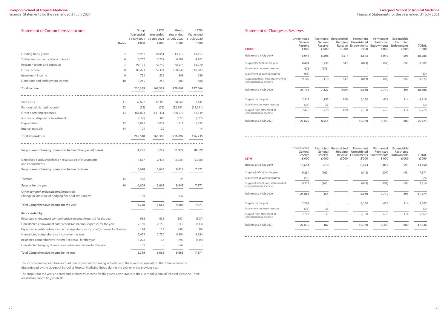<span id="page-11-0"></span>Financial Statements for the year ended 31 July 2021

#### **Liverpool School of Tropical Medicine** Financial Statements for the year ended 31 July 2021

| <b>Statement of Comprehensive Income</b>                                                       | <b>Notes</b> | Group<br>Year ended<br>31 July 2021<br>£'000 | <b>LSTM</b><br>Year ended<br>31 July 2021<br>£'000 | Group<br>Year ended<br>31 July 2020<br>£'000 | <b>LSTM</b><br>Year ended<br>31 July 2020<br>£'000 |
|------------------------------------------------------------------------------------------------|--------------|----------------------------------------------|----------------------------------------------------|----------------------------------------------|----------------------------------------------------|
| Funding body grants                                                                            | 5            | 16,951                                       | 16,951                                             | 14,117                                       | 14,117                                             |
| Tuition fees and education contracts                                                           | 6            | 3,737                                        | 3,737                                              | 4,101                                        | 4,101                                              |
| Research grants and contracts                                                                  | 7            | 99,174                                       | 72,740                                             | 78,274                                       | 56,970                                             |
| Other income                                                                                   | 8            | 88,471                                       | 74,324                                             | 130,049                                      | 110,907                                            |
| Investment income                                                                              | 9            | 751                                          | 525                                                | 848                                          | 289                                                |
| Donations and endowment income                                                                 | 10           | 1,255                                        | 1,255                                              | 680                                          | 680                                                |
| <b>Total income</b>                                                                            |              | 210,339                                      | 169,532                                            | 228,069                                      | 187,064                                            |
| Staff costs                                                                                    | 11           | 37,622                                       | 32,390                                             | 38,560                                       | 32,442                                             |
| Pension deficit funding costs                                                                  | 23           | (52)                                         | (52)                                               | (12, 591)                                    | (12, 591)                                          |
| Other operating expenses                                                                       | 13           | 166,004                                      | 131,431                                            | 188,570                                      | 154,849                                            |
| Surplus on disposal of investments                                                             |              | (196)                                        | 385                                                | (372)                                        | (372)                                              |
| Depreciation                                                                                   | 17           | 2,041                                        | 2,022                                              | 1,911                                        | 1,893                                              |
| Interest payable                                                                               | 14           | 129                                          | 129                                                | 14                                           | 14                                                 |
| <b>Total expenditure</b>                                                                       |              | 205,548                                      | 166,305                                            | 216,092                                      | 176,235                                            |
| Surplus on continuing operations before other gains/(losses)                                   |              | 4,791                                        | 3,227                                              | 11,977                                       | 10,829                                             |
| Unrealised surplus/(deficit) on revaluation of investments<br>and endowments                   |              | 1,857                                        | 2,438                                              | (2,958)                                      | (2,958)                                            |
| Surplus on continuing operations before taxation                                               |              | 6,648                                        | 5,665                                              | 9,019                                        | 7,871                                              |
| Taxation                                                                                       | 15           | (39)                                         |                                                    | 24                                           |                                                    |
| Surplus for the year                                                                           | 16           | 6,609                                        | 5,665                                              | 9,043                                        | 7,871                                              |
| Other comprehensive income/(expense):<br>Change in fair value of hedging financial instruments |              | 109                                          |                                                    | 642                                          |                                                    |
| Total Comprehensive Income for the year                                                        |              | 6,718                                        | 5,665                                              | 9,685                                        | 7,871                                              |
| Represented by:                                                                                |              |                                              |                                                    |                                              |                                                    |
| Restricted endowment comprehensive income/(expense) for the year                               |              | 638                                          | 638                                                | (307)                                        | (307)                                              |
| Unrestricted endowment comprehensive income/(expense) for the year                             |              | 2,150                                        | 2,150                                              | (843)                                        | (843)                                              |
| Expendable restricted endowment comprehensive income/(expense) for the year                    |              | 114                                          | 114                                                | (98)                                         | (98)                                               |
| Unrestricted comprehensive income for the year                                                 |              | 2,479                                        | 2,730                                              | 8,494                                        | 9,284                                              |
| Restricted comprehensive income/(expense) for the year                                         |              | 1,228                                        | 33                                                 | 1,797                                        | (165)                                              |
| Unrestricted hedging reserve comprehensive income for the year                                 |              | 109                                          |                                                    | 642                                          |                                                    |
| Total Comprehensive Income in the year                                                         |              | 6,718                                        | 5,665                                              | 9,685                                        | 7,871                                              |

The income and expenditure account is in respect of continuing activities and there were no operations that were acquired or discontinued by the Liverpool School of Tropical Medicine Group during the year or in the previous year.

The surplus for the year and total comprehensive income for the year is attributable to the Liverpool School of Tropical Medicine. There are no non-controlling interests.

#### Statement of Changes in Reserves

| <b>GROUP</b>                                                | Unrestricted<br>General<br>Reserve<br>£'000 | <b>Restricted</b><br>General<br>Reserve<br>£'000 | Unrestricted<br><b>Hedging</b><br>Reserve<br>£'000 | Permanent<br>Unrestricted<br><b>Endowments</b><br>£'000 | Permanent<br><b>Restricted</b><br>Endowments<br>£'000 | Expendable<br><b>Restricted</b><br><b>Endowments</b><br>£'000 | <b>TOTAL</b><br>£'000 |
|-------------------------------------------------------------|---------------------------------------------|--------------------------------------------------|----------------------------------------------------|---------------------------------------------------------|-------------------------------------------------------|---------------------------------------------------------------|-----------------------|
| Balance at 31 July 2019                                     | 16,044                                      | 6,208                                            | (751)                                              | 8,873                                                   | 8,019                                                 | 593                                                           | 38,986                |
| Surplus/(deficit) for the year                              | 8,494                                       | 1,797                                            | 642                                                | (843)                                                   | (307)                                                 | (98)                                                          | 9,685                 |
| Movement between reserves                                   | 678                                         | (678)                                            |                                                    |                                                         |                                                       |                                                               |                       |
| Movement of cash in reserves                                | (63)                                        | -                                                |                                                    |                                                         |                                                       |                                                               | (63)                  |
| Surplus/(Deficit) from statement of<br>comprehensive income | 9,109                                       | 1,119                                            | 642                                                | (843)                                                   | (307)                                                 | (98)                                                          | 9,622                 |
| Balance at 31 July 2020                                     | 25,153                                      | 7,327                                            | (109)                                              | 8,030                                                   | 7,712                                                 | 495                                                           | 48,608                |
| Surplus for the year                                        | 2,512                                       | 1,195                                            | 109                                                | 2,150                                                   | 638                                                   | 114                                                           | 6,718                 |
| Movement between reserves                                   | (36)                                        | 33                                               |                                                    |                                                         |                                                       |                                                               | (3)                   |
| Surplus from statement of<br>comprehensive income           | 2,476                                       | 1,228                                            | 109                                                | 2,150                                                   | 638                                                   | 114                                                           | 6,715                 |
| Balance at 31 July 2021                                     | 27,629                                      | 8,555                                            |                                                    | 10,180                                                  | 8,350                                                 | 609                                                           | 55,323                |

| <b>LSTM</b>                                                 | Unrestricted<br>General<br>Reserve<br>£'000 | General<br>Reserve<br>£'000 | Restricted Unrestricted<br><b>Hedging</b><br>Reserve<br>£'000 | Permanent<br>Unrestricted<br><b>Endowments</b><br>£'000 | Permanent<br><b>Restricted</b><br><b>Endowments</b><br>£'000 | Expendable<br>Restricted<br><b>Endowments</b><br>£'000 | <b>TOTAL</b><br>£'000 |
|-------------------------------------------------------------|---------------------------------------------|-----------------------------|---------------------------------------------------------------|---------------------------------------------------------|--------------------------------------------------------------|--------------------------------------------------------|-----------------------|
| Balance at 31 July 2019                                     | 15,654                                      | 619                         |                                                               | 8,873                                                   | 8,019                                                        | 593                                                    | 33,758                |
| Surplus/(deficit) for the year                              | 9,284                                       | (165)                       |                                                               | (843)                                                   | (307)                                                        | (98)                                                   | 7,871                 |
| Movement of cash in reserves                                | (55)                                        |                             |                                                               |                                                         |                                                              |                                                        | (55)                  |
| Surplus/(deficit) from statement of<br>comprehensive income | 9,229                                       | (165)                       |                                                               | (843)                                                   | (307)                                                        | (98)                                                   | 7,816                 |
| Balance at 31 July 2020                                     | 24,883                                      | 454                         |                                                               | 8,030                                                   | 7,712                                                        | 495                                                    | 41,574                |
| Surplus for the year                                        | 2,763                                       |                             | $\bar{ }$                                                     | 2,150                                                   | 638                                                          | 114                                                    | 5,665                 |
| Movement between reserves                                   | (36)                                        | 33                          |                                                               |                                                         |                                                              |                                                        | (3)                   |
| Surplus from statement of<br>comprehensive income           | 2,727                                       | 33                          | ٠                                                             | 2,150                                                   | 638                                                          | 114                                                    | 5,662                 |
| Balance at 31 July 2021                                     | 27,610                                      | 487                         | $\overline{\phantom{m}}$                                      | 10,180                                                  | 8,350                                                        | 609                                                    | 47,236                |
|                                                             |                                             |                             |                                                               |                                                         |                                                              |                                                        |                       |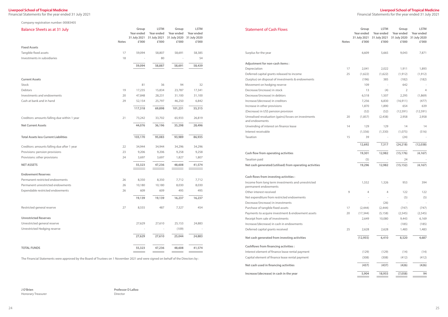<span id="page-12-0"></span>Financial Statements for the year ended 31 July 2021

#### **Liverpool School of Tropical Medicine**

Financial Statements for the year ended 31 July 2021

Company registration number: 00083405

The Financial Statements were approved by the Board of Trustees on 1 November 2021 and were signed on behalf of the Directors by :

**J O'Brien**

Honorary Treasurer

**Professor D Lalloo** Director

| <b>Balance Sheets as at 31 July</b>          |              | Group      | <b>LSTM</b>                             | Group                      | <b>LSTM</b>                | <b>Statement of Cash Flows</b>                                         |
|----------------------------------------------|--------------|------------|-----------------------------------------|----------------------------|----------------------------|------------------------------------------------------------------------|
|                                              |              | Year ended | Year ended<br>31 July 2021 31 July 2021 | Year ended<br>31 July 2020 | Year ended<br>31 July 2020 |                                                                        |
|                                              | <b>Notes</b> | £'000      | £'000                                   | £'000                      | £'000                      |                                                                        |
| <b>Fixed Assets</b>                          |              |            |                                         |                            |                            |                                                                        |
| Tangible fixed assets                        | 17           | 59,094     | 58,807                                  | 58,691                     | 58,385                     | Surplus for the year                                                   |
| Investments in subsidiaries                  | 18           |            | 80                                      | $\overline{a}$             | 54                         |                                                                        |
|                                              |              | 59,094     | 58,887                                  | 58,691                     | 58,439                     | Adjustment for non-cash items :                                        |
|                                              |              |            |                                         |                            |                            | Depreciation                                                           |
|                                              |              |            |                                         |                            |                            | Deferred capital grants released to income                             |
| <b>Current Assets</b>                        |              |            |                                         |                            |                            | (Surplus) on disposal of investments & endowments                      |
| Stock                                        |              | 81         | 36                                      | 94                         | 32                         | Movement on hedging reserve                                            |
| Debtors                                      | 19           | 17,235     | 15,834                                  | 23,787                     | 17,341                     | Decrease/(increase) in stock                                           |
| Investments and endowments                   | 20           | 47,848     | 28,231                                  | 31,100                     | 31,100                     | Decrease/(increase) in debtors                                         |
| Cash at bank and in hand                     | 29           | 52,154     | 25,797                                  | 46,250                     | 6,842                      | Increase/(decrease) in creditors                                       |
|                                              |              | 117,318    | 69,898                                  | 101,231                    | 55,315                     | Increase in other provisions                                           |
|                                              |              |            |                                         |                            |                            | (Decrease) in USS pension provision                                    |
| Creditors: amounts falling due within 1 year | 21           | 73,242     | 33,702                                  | 65,933                     | 26,819                     | Unrealised revaluation (gains)/losses on investments<br>and endowments |
| <b>Net Current Assets</b>                    |              | 44,076     | 36,196                                  | 35,298                     | 28,496                     | Unwinding of interest on finance lease                                 |
|                                              |              |            |                                         |                            |                            | Interest receivable                                                    |
| <b>Total Assets less Current Liabilities</b> |              | 103,170    | 95,083                                  | 93,989                     | 86,935                     | Taxation                                                               |
| Creditors: amounts falling due after 1 year  | 22           | 34,944     | 34,944                                  | 34,296                     | 34,296                     |                                                                        |
| Provisions: pension provisions               | 23           | 9,206      | 9,206                                   | 9,258                      | 9,258                      | Cash flow from operating activities                                    |
| Provisions: other provisions                 | 24           | 3,697      | 3,697                                   | 1,827                      | 1,807                      | Taxation paid                                                          |
| <b>NET ASSETS</b>                            |              | 55,323     | 47,236                                  | 48,608                     | 41,574                     | Net cash generated/(utilised) from operating activities                |
| <b>Endowment Reserves</b>                    |              |            |                                         |                            |                            | Cash flows from investing activities :                                 |
| Permanent restricted endowments              | 26           | 8,350      | 8,350                                   | 7,712                      | 7,712                      | Income from long term investments and unrestricted                     |
| Permanent unrestricted endowments            | 26           | 10,180     | 10,180                                  | 8,030                      | 8,030                      | permanent endowments                                                   |
| Expendable restricted endowments             | 26           | 609        | 609                                     | 495                        | 495                        | Other interest received                                                |
|                                              |              | 19,139     | 19,139                                  | 16,237                     | 16,237                     | Net expenditure from restricted endowments                             |
|                                              |              |            |                                         |                            |                            | Decrease/(increase) in investments                                     |
| Restricted general reserve                   | 27           | 8,555      | 487                                     | 7,327                      | 454                        | Purchase of tangible fixed assets                                      |
|                                              |              |            |                                         |                            |                            | Payments to acquire investment & endowment assets                      |
| <b>Unrestricted Reserves</b>                 |              |            |                                         |                            |                            | Receipt from sale of investments                                       |
| Unrestricted general reserve                 |              | 27,629     | 27,610                                  | 25,153                     | 24,883                     | Increase/(decrease) in cash in endowments                              |
| Unrestricted Hedging reserve                 |              |            | $\overline{\phantom{a}}$                | (109)                      |                            | Deferred capital grants received                                       |
|                                              |              | 27,629     | 27,610                                  | 25,044                     | 24,883                     | Net cash generated from investing activities                           |
| <b>TOTAL FUNDS</b>                           |              | 55,323     | 47,236                                  | 48,608                     | 41,574                     | <b>Cashflows from financing activities:</b>                            |
|                                              |              |            |                                         |                            |                            | Interest element of finance lease rental payment                       |

| <b>Statement of Cash Flows</b>                                             | <b>Notes</b> | Group<br>Year ended<br>31 July 2021<br>£'000 | <b>LSTM</b><br>Year ended<br>31 July 2021<br>£'000 | Group<br>Year ended<br>31 July 2020<br>£'000 | <b>LSTM</b><br>Year ended<br>31 July 2020<br>£'000 |
|----------------------------------------------------------------------------|--------------|----------------------------------------------|----------------------------------------------------|----------------------------------------------|----------------------------------------------------|
| Surplus for the year                                                       |              | 6,609                                        | 5,665                                              | 9,043                                        | 7,871                                              |
| Adjustment for non-cash items:                                             |              |                                              |                                                    |                                              |                                                    |
| Depreciation                                                               | 17           | 2,041                                        | 2,022                                              | 1,911                                        | 1,893                                              |
| Deferred capital grants released to income                                 | 25           | (1,622)                                      | (1,622)                                            | (1, 912)                                     | (1, 912)                                           |
| (Surplus) on disposal of investments & endowments                          |              | (196)                                        | 385                                                | (182)                                        | (182)                                              |
| Movement on hedging reserve                                                |              | 109                                          |                                                    | 642                                          |                                                    |
| Decrease/(increase) in stock                                               |              | 13                                           | (4)                                                | 2                                            | 4                                                  |
| Decrease/(increase) in debtors                                             |              | 6,518                                        | 1,507                                              | 2,295                                        | (1,869)                                            |
| Increase/(decrease) in creditors                                           |              | 7,256                                        | 6,830                                              | (16, 911)                                    | (477)                                              |
| Increase in other provisions                                               |              | 1,870                                        | 1,890                                              | 654                                          | 639                                                |
| (Decrease) in USS pension provision                                        |              | (52)                                         | (52)                                               | (12, 591)                                    | (12, 591)                                          |
| Unrealised revaluation (gains)/losses on investments<br>and endowments     | 20           | (1,857)                                      | (2,438)                                            | 2,958                                        | 2,958                                              |
| Unwinding of interest on finance lease                                     | 14           | 129                                          | 129                                                | 14                                           | 14                                                 |
| Interest receivable                                                        |              | (1, 556)                                     | (1, 330)                                           | (1,075)                                      | (516)                                              |
| Taxation                                                                   | 15           | 39                                           |                                                    | (24)                                         |                                                    |
|                                                                            |              | 12,692                                       | 7,317                                              | (24, 218)                                    | (12,038)                                           |
| Cash flow from operating activities                                        |              | 19,301                                       | 12,982                                             | (15, 176)                                    | (4, 167)                                           |
| Taxation paid                                                              |              | (5)                                          |                                                    | 24                                           |                                                    |
| Net cash generated/(utilised) from operating activities                    |              | 19,296                                       | 12,982                                             | (15, 152)                                    | (4, 167)                                           |
| Cash flows from investing activities:                                      |              |                                              |                                                    |                                              |                                                    |
| Income from long term investments and unrestricted<br>permanent endowments |              | 1,552                                        | 1,326                                              | 953                                          | 394                                                |
| Other interest received                                                    | 9            | 4                                            | 4                                                  | 122                                          | 122                                                |
| Net expenditure from restricted endowments                                 |              |                                              |                                                    | (5)                                          | (5)                                                |
| Decrease/(increase) in investments                                         |              |                                              | (26)                                               |                                              |                                                    |
| Purchase of tangible fixed assets                                          | 17           | (2,444)                                      | (2,444)                                            | (747)                                        | (747)                                              |
| Payments to acquire investment & endowment assets                          | 20           | (17, 344)                                    | (5, 158)                                           | (2, 545)                                     | (2, 545)                                           |
| Receipt from sale of investments                                           |              | 2,649                                        | 10,080                                             | 9,443                                        | 6,169                                              |
| Increase/(decrease) in cash in endowments                                  |              |                                              |                                                    | (185)                                        | (185)                                              |
| Deferred capital grants received                                           | 25           | 2,628                                        | 2,628                                              | 1,483                                        | 1,483                                              |
| Net cash generated from investing activities                               |              | (12, 955)                                    | 6,410                                              | 8,520                                        | 4,687                                              |
| <b>Cashflows from financing activities:</b>                                |              |                                              |                                                    |                                              |                                                    |
| Interest element of finance lease rental payment                           |              | (129)                                        | (129)                                              | (14)                                         | (14)                                               |
| Capital element of finance lease rental payment                            |              | (308)                                        | (308)                                              | (412)                                        | (412)                                              |
| Net cash used in financing activities                                      |              | (437)                                        | (437)                                              | (426)                                        | (426)                                              |
| Increase/(decrease) in cash in the year                                    |              | 5,904                                        | 18,955                                             | (7,058)                                      | 94                                                 |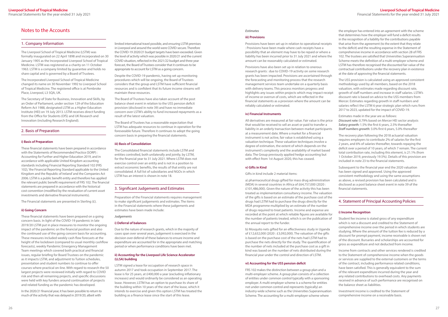## <span id="page-13-0"></span>Notes to the Accounts

#### 1. Company Information

The Liverpool School of Tropical Medicine (LSTM) was formally inaugurated on 22 April 1898 and incorporated on 30 January 1905 as the Incorporated Liverpool School of Tropical Medicine. LSTM was registered as a charity on 11 October 1963. LSTM is a company limited by guarantee and holds no share capital and is governed by a Board of Trustees.

The Incorporated Liverpool School of Tropical Medicine changed its name on 30 November 1992 to Liverpool School of Tropical Medicine. The registered office is at Pembroke Place, Liverpool, L3 5QA, UK.

The Secretary of State for Business, Innovation and Skills, by an Order of Parliament, under section 129 of the Education Reform Act 1988, designated LSTM as a Higher Education Institute (HEI) on 19 July 2013. LSTM receives direct funding from the Office for Students (OfS) and UK Research and Innovation (including Research England).

#### 2. Basis of Preparation

#### **i) Basis of Preparation**

These financial statements have been prepared in accordance with the Statements of Recommended Practice (SORP) : Accounting for Further and Higher Education 2019, and in accordance with applicable United Kingdom accounting standards including Financial Reporting Standard 102 (FRS 102), 'the Financial Reporting Standard applicable to the United Kingdom and the Republic of Ireland' and the Companies Act 2006. LSTM is a public benefit entity and therefore has applied the relevant public benefit requirement of FRS 102. The financial statements are prepared in accordance with the historical cost convention (modified by the revaluation of current asset investments and derivative financial instruments).

The Financial statements are presented in Sterling  $(E)$ .

#### **ii) Going Concern**

These financial statements have been prepared on a going concern basis. In light of the COVID-19 pandemic in late 2019/20 LSTM put in place measures to monitor the ongoing impact of the pandemic on the financial position and also the continued use of the going concern basis for accounting. These measures included weekly cash flow forecasts at the height of the lockdown (compared to usual monthly cashflow forecasts), weekly Pandemic Emergency Management Team meetings which covered both practical and financial issues, regular briefing for Board Trustees on the pandemic as it impacts LSTM, and adjustment to Tuition schedules, presentation and student numbers to continue to offer courses where practical on-line. With regard to research the 50 largest projects were reviewed initially with regard to COVID risk and then all remaining projects, and specific discussions were held with key funders around continuation of projects and related funding as the pandemic has developed.

In the 2020/21 financial year, it has been possible to return to much of the activity that was delayed in 2019/20, albeit with

limited international travel possible, and ensuring LSTM premises in Liverpool and around the world were COVID-secure. Therefore the COVID-19 2020/21 budget targets have been exceeded. Given the level of activity which was possible in 2020/21 and the current COVID situation, reflected in the 2021/22 budget and three year forecast, the Board of Trustees consider that it continues to be appropriate to account for LSTM as a going concern.

Despite the COVID-19 pandemic, having set up monitoring procedures which will be ongoing, the Board of Trustees considers that the group and LSTM have sufficient financial resources and is confident that its future income streams will maintain these resources.

The Board of Trustees have also taken account of the post balance sheet event in relation to the USS pension deficit provision (disclosed in note 39) and have no immediate concern over LSTM's ability to fund increased repayments as a result of the latest valuation.

The Board of Trustees has a reasonable expectation that LSTM has adequate resources to continue in operation for the foreseeable future. Therefore it continues to adopt the going concern basis in preparing the financial statements.

> b) Mosquito nets gifted for an effectiveness study in Uganda of £12,632,000 (2020 : £3,092,000). The valuation of the gifts is based on the purchase cost of the nets had LSTM had to purchase the nets directly for the study. The quantification of the number of nets included at the purchase cost as a gift in kind was based on the number of nets distributed during the financial year under the control and direction of LSTM.

#### **iii) Basis of Consolidation**

The Consolidated financial statements include LSTM and entities controlled, both unilaterally and jointly, by LSTM, for the financial year to 31 July 2021. Where LSTM does not exercise control over an entity and is not in a position to extract economic benefits, the results of that entity are not consolidated. A full list of subsidiaries and NGOs in which LSTM has an interest is shown in note 18.

#### 3. Significant Judgements and Estimates

Preparation of the Financial statements requires management to make significant judgements and estimates. The items in the Financial statements where these judgements and estimates have been made include:

*Judgements*

#### **i) Deferral of balances**

Due to the nature of research grants, which in the majority of cases span over several years, judgement is exercised in the decision over deferral of these balances to ensure income and expenditure are accounted for in the appropriate and matching period or when performance conditions have been met.

#### **ii) Accounting for the Liverpool Life Science Accelerator (LLSA) building**

LSTM signed a lease for occupation of research space in autumn 2017 and took occupation in September 2017. The lease is for 25 years, at £400,000 a year (excluding inflationary increases) and would ordinarily be considered as an operating lease. However, LSTM has an option to purchase its share of the building within 10 years of the start of the lease, which it intends to exercise and given this option LSTM has treated the building as a finance lease since the start of this lease.

#### *Estimates*

#### **iii) Provisions**

Provisions have been set up in relation to operational receipts : Provisions have been made where cash receipts have a possibility that an element may have to be repaid or where a liability has been incurred prior to 31 July 2021 and where the amount can be reasonably calculated or estimated.

Provisions have also been set up in relation to onerous research grants : due to COVID-19 activity on some research grants has been impacted. Provisions are ascertained through the forecasting and monitoring process that the research management services team undertake on a quarterly basis with delivery teams. This process monitors progress and highlights any issues within projects which may impact receipt of income or overrun of costs, which are reflected in the financial statements as a provision where the amount can be reliably calculated or estimated.

#### **iv) Financial Instruments**

All derivatives are measured at fair value. Fair value is the price that would be received to sell an asset or paid to transfer a liability in an orderly transaction between market participants at a measurement date. Where a market for a financial instrument is not active, fair value is established using a valuation technique. These valuation techniques involve a degree of estimation, the extent of which depends on the instrument's complexity and the availability of market based data. The Group previously applied hedge accounting but with effect from 1st August 2020, this has ceased.

#### **v) Gifts in Kind**

Gifts in kind include 2 material items:

a) pharmaceutical drugs gifted for mass drug administration (MDA) in several countries in Africa of £64,757,000 (2020 : £101,486,000). Given the nature of the activity this has been treated as implementation consultancy income. The valuation of the gifts is based on an estimate of the purchase cost of the drugs had LSTM had to purchase the drugs directly for the MDA programme multiplied by an estimate of the number of drugs required to treat patients. Income and expense are recorded at the point at which reliable figures are available for the number of patients treated, which is on the publication of the annual report to the funder.

#### **vi) Accounting for the USS pension deficit**

FRS 102 makes the distinction between a group plan and a multi-employer scheme. A group plan consists of a collection of entities under common control typically with a sponsoring employer. A multi-employer scheme is a scheme for entities not under common control and represents (typically) an industry-wide scheme such as the Universities Superannuation Scheme. The accounting for a multi-employer scheme where

the employer has entered into an agreement with the scheme that determines how the employer will fund a deficit results in the recognition of a liability for the contributions payable that arise from the agreement (to the extent that they relate to the deficit) and the resulting expense in the Statement of comprehensive income in accordance with section 28 of FRS 102. The trustees are satisfied that Universities Superannuation Scheme meets the definition of a multi-employer scheme and LSTM has therefore recognised the discounted fair value of the contractual contributions under the recovery plan in existence at the date of approving the financial statements.

The USS provision is calculated using an approved consistent methodology used by all members, based on the 2018 valuation, with estimates made regarding discount rate, growth of staff numbers and increase in staff salaries. LSTM's discount rate is based on advice to the USS members from Mercer. Estimates regarding growth in staff numbers and salaries reflect the LSTM 6 year strategic plan which runs from 2017 to 2023, updated for the impact of COVID-19.

Estimates made in the year are as follows: *Discount rate:* 0.79% based on Mercer HEI sector analysis *Salary growth:* 1.5% the first 6 years, 2.5% thereafter *Staff numbers growth:* 3.0% first 6 years, 5.0% thereafter

The recovery plan following the 2018 actuarial valuation requires employers to contribute 2% of salaries for the first 2 years, and 6% of salaries thereafter, towards repaying the deficit over a period of 10 years, of which 7 remain. The current total contribution rate, including this element, is 21.1% (from 1 October 2019, previously 19.5%). Details of this provision are included in note 23 to the financial statements.

Subsequent to the financial year end the 2020 valuation has been signed and approved. Using the approved consistent methodology and using the same assumptions as above, a revised provision has been calculated and is disclosed as a post balance sheet event in note 39 of the financial statements.

### 4. Statement of Principal Accounting Policies

#### **i) Income Recognition**

Student fee income is stated gross of any expenditure which is not a discount and credited to the Statement of comprehensive income over the period in which students are studying. Where the amount of the tuition fee is reduced by a discount for prompt payment, income receivable is shown net of the discount. Bursaries and scholarships are accounted for gross as expenditure and not deducted from income.

Income from contracts and other services rendered is credited to the Statement of comprehensive income when the goods or services are supplied to the external customers or the terms of the contract, including performance related conditions, have been satisfied. This is generally equivalent to the sum of the relevant expenditure incurred during the year and any related contributions to overhead costs. Any payments received in advance of such performance are recognised on the balance sheet as liabilities.

Investment income is credited to the Statement of comprehensive income on a receivable basis.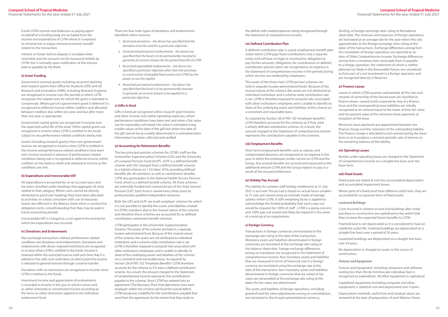Funds LSTM receives and disburses as paying agent on behalf of a funding body are excluded from the income and expenditure of LSTM where it is exposed to minimal risk or enjoys minimal economic benefit related to the transaction.

Interest on funds held on deposit is included when receivable and the amount can be measured reliably by LSTM; this is normally upon notification of the interest paid or payable by the Bank.

#### **ii) Grant Funding**

Government revenue grants including recurrent teaching and research grants from Office for Students (OfS) and UK Research and Innovation (UKRI), including Research England, are recognised in income over the periods in which LSTM recognises the related costs for which the grant is intended to compensate. Where part of a government grant is deferred it is recognised as deferred income within creditors and allocated between creditors due within one year and due after more than one year as appropriate.

Government capital grants are recognised in income over the expected useful life of the asset. Other capital grants are recognised in income when LSTM is entitled to the funds subject to any performance related conditions being met.

Grants (including research grants) from non-government sources are recognised in income when LSTM is entitled to the income and performance related conditions have been met. Income received in advance of performance related conditions being met is recognised as deferred income within creditors on the balance sheet and released to income as the conditions are met.

#### **iii) Expenditure and Irrecoverable VAT**

All expenditure is accounted for on an accruals basis and has been classified under headings that aggregate all costs related to that category. Where costs cannot be directly attributed to particular headings they have been allocated to activities on a basis consistent with use of resources. Grants are reflected in the Balance sheet when a constructive obligation exists, notwithstanding that they may be paid in future accounting periods.

Irrecoverable VAT is charged as a cost against the activity for which the expenditure was incurred.

#### **iv) Donations and Endowments**

Non exchange transactions without performance related conditions are donations and endowments. Donations and endowments with donor imposed restrictions are recognised in income when LSTM is entitled to the funds. Income is retained within the restricted reserve until such time that it is utilised in line with such restrictions at which point the income is released to general reserves through a reserve transfer.

Donations with no restrictions are recognised in income when LSTM is entitled to the funds.

Investment income and appreciation of endowments is recorded in income in the year in which it arises and as either restricted or unrestricted income according to the terms or other restrictions applied to the individual endowment fund.

There are four main types of donations and endowments identified within reserves:

- *1. Restricted donations the donor has specified that the donation must be used for a particular objective.*
- *2. Unrestricted permanent endowments the donor has specified that the fund is to be permanently invested to generate an income stream for the general benefit of LSTM.*
- *3. Restricted expendable endowments the donor has specified a particular objective other than the purchase or construction of tangible fixed assets and LSTM has the power to use the capital.*
- *4. Restricted permanent endowments the donor has specified that the fund is to be permanently invested to generate an income stream to be applied to a particular objective.*

#### **v) Gifts in Kind**

Gifts in kind are recognised within research grant income and other income, and within operating expenses, where performance conditions have been met and when a fair value can be reasonably estimated. Fair value is estimated using market values at the date of the gift but where the date of the gift cannot be accurately determined it is estimated when information has been collected and verified.

#### **vi) Accounting for Retirement Benefits**

The two principal pension schemes for LSTM's staff are the Universities Superannuation Scheme (USS) and the University of Liverpool Pension Fund (ULPF). ULPF is a defined benefit scheme and USS changed from a defined benefit scheme to a hybrid scheme on 1 October 2016, providing defined benefits (for all members) as well as contribution benefits. LSTM also participates in the National Health Service Pension Fund, which is a defined benefit scheme. All three schemes are externally funded and contracted out of the State Second Pension (S2P). Each fund is valued every three years by professionally qualified independent actuaries.

Both the USS and ULPF are multi-employer schemes for which it is not possible to identify the assets and liabilities related to LSTM's members due to the mutual nature of the scheme and therefore these schemes are accounted for as defined contribution retirement benefit schemes.

LSTM participates in the Universities Superannuation Scheme. The assets of the scheme are held in a separate trustee-administered fund. Because of the mutual nature of the scheme, the assets are not attributed to individual institutions and a scheme-wide contribution rate is set. LSTM is therefore exposed to actuarial risks associated with other institutions' employees and is unable to identify its share of the underlying assets and liabilities of the scheme on a consistent and reasonable basis. As required by Section 28 of FRS 102 "Employee Benefits" LSTM therefore accounts for the scheme as if it were a defined contribution scheme. As a result, the amount charged to the Statement of comprehensive income represents the contributions payable to the scheme. Since LSTM has entered into an agreement (The Recovery Plan) that determines how each employer within the scheme will fund the overall deficit, LSTM recognises a liability for the contributions payable that arise from the agreement (to the extent that they relate to

the deficit) with related expenses being recognised through the Statement of comprehensive income.

The assets of the three main LSTM pension schemes are held in separate trustee-administered funds. Because of the mutual nature of the scheme, the assets are not attributed to individual institutions and a scheme-wide contribution rate is set. LSTM is therefore exposed to actuarial risks associated with other institutions' employees and is unable to identify its share of the underlying assets and liabilities of the scheme on a consistent and reasonable basis.

As required by Section 28 of FRS 102 "employee benefits", LSTM therefore accounts for the schemes as if they were a wholly defined contribution scheme. As a result, the amount charged to the Statement of comprehensive income represents the contributions payable to the schemes.

#### **viii) Employment Benefits**

Short term employment benefits such as salaries and compensated absences are recognised as an expense in the year in which the employees render service to LSTM and the Group. Any unused benefits are accrued and measured as the additional amount LSTM and the Group expects to pay as a result of the unused entitlement.

#### **ix) Holiday Pay Accrual**

The liability for untaken staff holiday entitlement at 31 July 2021 is accrued. The accrual is based on actual hours untaken at 31 July and valued using an estimate made of average salaries within LSTM. A 50% weighting factor is applied to acknowledge the limited probability that such a pay-out would be required for 100% of staff - LSTM is a going concern and 100% pay-out would only likely be required in the event of a wind up of an organisation.

**vii) Defined Contribution Plan** A defined contribution plan is a post-employment benefit plan under which LSTM pays fixed contributions into a separate entity and will have no legal or constructive obligation to pay further amounts. Obligations for contributions in defined contribution pension plans are recognised as an expense in the Statement of comprehensive income in the periods during which services are rendered by employees. Sterling, at foreign exchange rates ruling at the balance sheet date. The revenues and expenses of foreign operations are translated at an average rate for the year where this rate approximates to the foreign exchange rates ruling at the dates of the transactions. Exchange differences arising from this translation of foreign operations are reported as an item of Other Comprehensive Income. Exchange differences arising from a monetary item receivable from or payable to a foreign operation, the settlement of which is neither planned nor likely in the foreseeable future, are considered to form part of a net investment in a foreign operation and are recognised directly in Reserves.

#### **x) Foreign Currency**

Transactions in foreign currencies are translated at the exchange rate ruling at the date of the transaction. Monetary assets and liabilities denominated in foreign currencies are translated at the exchange rate ruling at the balance sheet date. Foreign exchange differences arising on translation are recognised in the Statement of comprehensive income. Non-monetary assets and liabilities that are measured in terms of historical cost in a foreign currency are translated using the exchange rate at the date of the transaction. Non-monetary assets and liabilities denominated in foreign currencies that are stated at fair value are retranslated at the exchange rate ruling at the dates the fair value was determined.

The assets and liabilities of foreign operations, including goodwill and fair value adjustments arising on consolidation, are translated to the Group's presentational currency,

#### **xi) Finance Leases**

Leases in which LSTM assumes substantially all the risks and rewards of ownership of the leased asset are classified as finance leases. Leased assets acquired by way of a finance lease and the corresponding lease liabilities are initially recognised at an amount equal to the lower of their fair value and the present value of the minimum lease payments at inception of the lease.

Minimum lease payments are apportioned between the finance charge and the reduction of the outstanding liability. The finance charge is allocated to each period during the lease term so as to produce a constant periodic rate of interest on the remaining balance of the liability.

#### **xii) Operating Leases**

Rentals under operating leases are charged to the Statement of comprehensive income on a straight line basis over the lease term.

#### **xiii) Fixed Assets**

Fixed assets are stated at cost less accumulated depreciation and accumulated impairment losses.

Where parts of a fixed asset have different useful lives, they are accounted for as separate items of fixed assets.

#### *Land and Buildings*

Costs incurred in relation to land and buildings after initial purchase or construction are capitalised to the extent that they increase the expected future benefits to LSTM.

Freehold land is not depreciated as it is considered to have an indefinite useful life. Freehold buildings are depreciated on a straight line basis over a period of 50 years.

Leasehold buildings are depreciated on a straight line basis over 50 years.

No depreciation is charged on assets in the course of construction.

#### *Fixtures and Equipment*

Fixtures and equipment, including computers and software, costing less than the de minimus per individual item is recognised as expenditure. All other equipment is capitalised.

Capitalised equipment (including computer and other equipment) is stated at cost and depreciated over 4 years.

Depreciation methods, useful lives and residual values are reviewed at the date of preparation of each Balance Sheet.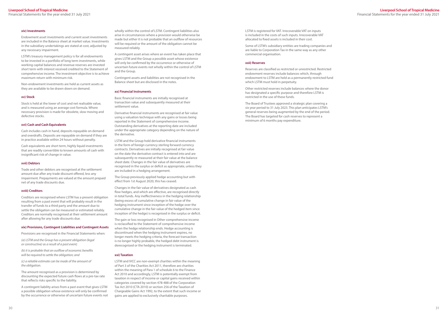#### **xiv) Investments**

Endowment asset investments and current asset investments are included in the Balance sheet at market value. Investments in the subsidiary undertakings are stated at cost, adjusted by any necessary impairment.

LSTM's treasury management policy is for all endowments to be invested in a portfolio of long term investments, while working capital balances and revenue reserves are invested short term with interest received credited to the Statement of comprehensive income. The investment objective is to achieve maximum return with minimum risk.

Non-endowment investments are held as current assets as they are available to be drawn down on demand.

#### **xv) Stock**

Stock is held at the lower of cost and net realisable value, and is measured using an average cost formula. Where necessary provision is made for obsolete, slow moving and defective stocks.

#### **xvi) Cash and Cash Equivalents**

Cash includes cash in hand, deposits repayable on demand and overdrafts. Deposits are repayable on demand if they are in practice available within 24 hours without penalty.

Cash equivalents are short term, highly liquid investments that are readily convertible to known amounts of cash with insignificant risk of change in value.

#### **xvii) Debtors**

Trade and other debtors are recognised at the settlement amount due after any trade discount offered, less any impairment. Prepayments are valued at the amount prepaid net of any trade discounts due.

#### **xviii) Creditors**

Creditors are recognised where LSTM has a present obligation resulting from a past event that will probably result in the transfer of funds to a third party and the amount due to settle the obligation can be measured or estimated reliably. Creditors are normally recognised at their settlement amount after allowing for any trade discounts due.

#### **xix) Provisions, Contingent Liabilities and Contingent Assets**

Provisions are recognised in the Financial Statements when:

*(a) LSTM and the Group has a present obligation (legal or constructive) as a result of a past event;*

*(b) it is probable that an outflow of economic benefits will be required to settle the obligation; and*

*(c) a reliable estimate can be made of the amount of the obligation.*

The amount recognised as a provision is determined by discounting the expected future cash flows at a pre-tax rate that reflects risks specific to the liability.

A contingent liability arises from a past event that gives LSTM a possible obligation whose existence will only be confirmed by the occurrence or otherwise of uncertain future events not

wholly within the control of LSTM. Contingent liabilities also arise in circumstances where a provision would otherwise be made but either it is not probable that an outflow of resources will be required or the amount of the obligation cannot be measured reliably.

A contingent asset arises where an event has taken place that gives LSTM and the Group a possible asset whose existence will only be confirmed by the occurrence or otherwise of uncertain future events not wholly within the control of LSTM and the Group.

Contingent assets and liabilities are not recognised in the Balance sheet but are disclosed in the notes.

#### **xx) Financial Instruments**

Basic financial instruments are initially recognised at transaction value and subsequently measured at their settlement value.

Derivative financial instruments are recognised at fair value using a valuation technique with any gains or losses being reported in the Statement of comprehensive income. Outstanding derivatives at the reporting date are included under the appropriate category depending on the nature of the derivative.

LSTM and the Group hold derivative financial instruments in the form of foreign currency sterling forward currency contracts. Derivatives are initially recognised at fair value on the date the derivative contract is entered into and are subsequently re-measured at their fair value at the balance sheet date. Changes in the fair value of derivatives are recognised in the surplus or deficit as appropriate, unless they are included in a hedging arrangement.

The Group previously applied hedge accounting but with effect from 1st August 2020, this has ceased.

Changes in the fair value of derivatives designated as cash flow hedges, and which are effective, are recognised directly in total funds. Any ineffectiveness in the hedging relationship (being excess of cumulative change in fair value of the hedging instrument since inception of the hedge over the cumulative change in the fair value of the hedged item since inception of the hedge) is recognised in the surplus or deficit.

The gain or loss recognised in Other comprehensive income is reclassified to the Statement of comprehensive income when the hedge relationship ends. Hedge accounting is discontinued when the hedging instrument expires, no longer meets the hedging criteria, the forecast transaction is no longer highly probable, the hedged debt instrument is derecognised or the hedging instrument is terminated.

#### **xxi) Taxation**

LSTM and IVCC are non-exempt charities within the meaning of Part 3 of the Charities Act 2011, therefore are charities within the meaning of Para 1 of schedule 6 to the Finance Act 2010 and accordingly, LSTM is potentially exempt from taxation in respect of income or capital gains received within categories covered by section 478-488 of the Corporation Tax Act 2010 (CTA 2010) or section 256 of the Taxation of Chargeable Gains Act 1992, to the extent that such income or gains are applied to exclusively charitable purposes.

LSTM is registered for VAT. Irrecoverable VAT on inputs is included in the costs of such inputs. Irrecoverable VAT allocated to fixed assets is included in their cost.

Some of LSTM's subsidiary entities are trading companies and are liable to Corporation Tax in the same way as any other commercial organisation.

#### **xxii) Reserves**

Reserves are classified as restricted or unrestricted. Restricted endowment reserves include balances which, through endowment to LSTM are held as a permanently restricted fund which LSTM must hold in perpetuity.

Other restricted reserves include balances where the donor has designated a specific purpose and therefore LSTM is restricted in the use of these funds.

The Board of Trustees approved a strategic plan covering a six year period to 31 July 2023. This plan anticipates LSTM's general reserves being augmented by the end of the period. The Board has targeted for cash reserves to represent a minimum of 6 months pay expenditure.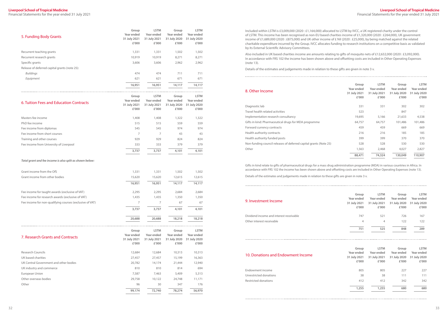Financial Statements for the year ended 31 July 2021

Included within LSTM is £3,009,000 (2020 : £1,164,000) allocated to LSTM by IVCC, a UK registered charity under the control of LSTM. This income has been recognised as non-EU based charities income of £1,320,000 (2020 : £264,000), UK government income of £1,689,000 (2020 : £875,000) and UK other income of £ Nil (2020 : £25,000), by being matched against the related charitable expenditure incurred by the Group. IVCC allocates funding to research institutions on a competitive basis as validated by its External Scientific Advisory Committees.

Also included in UK based charities income are amounts relating to gifts of mosquito nets of £12,632,000 (2020 : £3,092,000). In accordance with FRS 102 the income has been shown above and offsetting costs are included in Other Operating Expenses (note 13).

Details of the estimates and judgements made in relation to these gifts are given in note 3 v.

| 5. Funding Body Grants                                   | Group<br>Year ended<br>31 July 2021<br>£'000 | <b>LSTM</b><br>Year ended<br>31 July 2021<br>£'000 | Group<br>Year ended<br>31 July 2020<br>£'000         | <b>LSTM</b><br>Year ended<br>31 July 2020<br>£'000 |
|----------------------------------------------------------|----------------------------------------------|----------------------------------------------------|------------------------------------------------------|----------------------------------------------------|
| Recurrent teaching grants                                | 1,331                                        | 1,331                                              | 1,502                                                | 1,502                                              |
| Recurrent research grants                                | 10,919                                       | 10,919                                             | 8,271                                                | 8,271                                              |
| Specific grants                                          | 3,606                                        | 3,606                                              | 2,962                                                | 2,962                                              |
| Release of deferred capital grants (note 25):            |                                              |                                                    |                                                      |                                                    |
| <b>Buildings</b>                                         | 474                                          | 474                                                | 711                                                  | 711                                                |
| Equipment                                                | 621                                          | 621                                                | 671                                                  | 671                                                |
|                                                          | 16,951                                       | 16,951                                             | 14,117                                               | 14,117                                             |
| 6. Tuition Fees and Education Contracts                  | Group<br>Year ended<br>31 July 2021<br>£'000 | <b>LSTM</b><br>Year ended<br>31 July 2021<br>£'000 | Group<br>Year ended<br>31 July 2020<br>£'000         | <b>LSTM</b><br>Year ended<br>31 July 2020<br>£'000 |
| Masters fee income                                       | 1,408                                        | 1,408                                              | 1,322                                                | 1,322                                              |
| PhD fee income                                           | 515                                          | 515                                                | 559                                                  | 559                                                |
| Fee income from diplomas                                 | 545                                          | 545                                                | 974                                                  | 974                                                |
| Fee income from short courses                            | $\overline{7}$                               | 7                                                  | 43                                                   | 43                                                 |
| Training and other courses                               | 929                                          | 929                                                | 824                                                  | 824                                                |
| Fee income from University of Liverpool                  | 333                                          | 333                                                | 379                                                  | 379                                                |
|                                                          | 3,737                                        | 3,737                                              | 4,101                                                | 4,101                                              |
| Total grant and fee income is also split as shown below: |                                              |                                                    |                                                      |                                                    |
| Grant income from the OfS                                | 1,331                                        | 1,331                                              | 1,502                                                | 1,502                                              |
| Grant income from other bodies                           | 15,620                                       | 15,620                                             | 12,615                                               | 12,615                                             |
|                                                          | 16,951                                       | 16,951                                             | 14,117                                               | 14,117                                             |
| Fee income for taught awards (exclusive of VAT)          | 2,295                                        | 2,295                                              | 2,684                                                | 2,684                                              |
| Fee income for research awards (exclusive of VAT)        | 1,435                                        | 1,435                                              | 1,350                                                | 1,350                                              |
| Fee income for non-qualifying courses (exclusive of VAT) | 7                                            | 7                                                  | 67                                                   | 67                                                 |
|                                                          | 3,737                                        | 3,737                                              | 4,101                                                | 4,101                                              |
|                                                          | 20,688                                       | 20,688                                             | 18,218                                               | 18,218                                             |
| 7. Research Grants and Contracts                         | Group<br>Year ended<br>31 July 2021<br>£'000 | <b>LSTM</b><br>Year ended<br>31 July 2021<br>£'000 | Group<br>Year ended<br>31 July 2020<br>$\pounds'000$ | <b>LSTM</b><br>Year ended<br>31 July 2020<br>£'000 |
| <b>Research Councils</b>                                 | 12,684                                       | 12,684                                             | 10,313                                               | 10,313                                             |
| UK based charities                                       | 27,457                                       | 27,457                                             | 15,199                                               | 16,363                                             |
| UK Central Government and other bodies                   | 20,782                                       | 14,174                                             | 21,444                                               | 12,940                                             |
| UK industry and commerce                                 | 810                                          | 810                                                | 814                                                  | 694                                                |
| European Union                                           | 7,587                                        | 7,463                                              | 5,409                                                | 5,313                                              |
| Other overseas bodies                                    | 29,758                                       | 10,122                                             | 24,748                                               | 11,171                                             |
| Other                                                    | 96                                           | 30                                                 | 347                                                  | 176                                                |
|                                                          | 99,174                                       | 72,740                                             | 78,274                                               | 56,970                                             |

#### 8. Other Income

| Group<br>Year ended<br>31 July 2021<br>£'000 | <b>LSTM</b><br>Year ended<br>31 July 2021<br>£'000 | Group<br>Year ended<br>31 July 2020<br>£'000 | <b>LSTM</b><br>Year ended<br>31 July 2020<br>£'000 |
|----------------------------------------------|----------------------------------------------------|----------------------------------------------|----------------------------------------------------|
| 331                                          | 331                                                | 302                                          | 302                                                |
| 523                                          |                                                    | 847                                          |                                                    |
| 19,695                                       | 5,166                                              | 21,633                                       | 4,538                                              |
| 64,757                                       | 64,757                                             | 101,486                                      | 101,486                                            |
| 459                                          | 459                                                | 669                                          | 669                                                |
| 216                                          | 216                                                | 185                                          | 185                                                |
| 399                                          | 399                                                | 370                                          | 370                                                |
| 528                                          | 528                                                | 530                                          | 530                                                |
| 1,563                                        | 2,468                                              | 4,027                                        | 2,827                                              |
| 88,471                                       | 74,324                                             | 130,049                                      | 110,907                                            |

|                                                                   | 88,471 | 74,324                   | 130,049 | 110,907 |
|-------------------------------------------------------------------|--------|--------------------------|---------|---------|
| Other                                                             | 1,563  | 2,468                    | 4,027   | 2.827   |
| Non-funding council releases of deferred capital grants (Note 25) | 528    | 528                      | 530     | 530     |
| Health authority funded posts                                     | 399    | 399                      | 370     | 370     |
| Health authority contracts                                        | 216    | 216                      | 185     | 185     |
| Forward currency contracts                                        | 459    | 459                      | 669     | 669     |
| Gifts in kind: Pharmaceutical drugs for MDA programme             | 64,757 | 64,757                   | 101,486 | 101,486 |
| Implementation research consultancy                               | 19,695 | 5,166                    | 21,633  | 4,538   |
| Travel health related activities                                  | 523    | $\overline{\phantom{a}}$ | 847     | ٠       |
| Diagnostic lab                                                    | 331    | 331                      | 302     | 302     |
|                                                                   |        |                          |         |         |

Gifts in kind relate to gifts of pharmaceutical drugs for a mass drug administration programme (MDA) in various countries in Africa. In accordance with FRS 102 the income has been shown above and offsetting costs are included in Other Operating Expenses (note 13).

Details of the estimates and judgements made in relation to these gifts are given in note 3 v.

#### 9. Investment Income

Dividend income and interest receivable Other interest receivable

| <b>LSTM</b><br>Group<br>Group                                | <b>LSTM</b> |
|--------------------------------------------------------------|-------------|
|                                                              |             |
| Year ended<br>Year ended<br>Year ended<br>Year ended         |             |
| 31 July 2021<br>31 July 2021<br>31 July 2020<br>31 July 2020 |             |
| £'000<br>£'000<br>£'000                                      | £'000       |
|                                                              |             |
| 521<br>747<br>726                                            | 167         |
| 122<br>4<br>4                                                | 122         |
|                                                              |             |
| 525<br>751<br>848                                            | 289         |

#### 10. Donations and Endowment Income

**Group Year ended 31 July 2021 £'000 LSTM Year ended 31 July 2021 £'000 Group Year ended 31 July 2020 £'000 LSTM Year ended 31 July 2020 £'000** Endowment income 805 805 227 227 Unrestricted donations and the set of the set of the set of the set of the set of the set of the set of the set of the set of the set of the set of the set of the set of the set of the set of the set of the set of the set Restricted donations and the settlement of the settlement of the settlement of the settlement of the settlement of the settlement of the settlement of the settlement of the settlement of the settlement of the settlement of **1,255 1,255 680 680**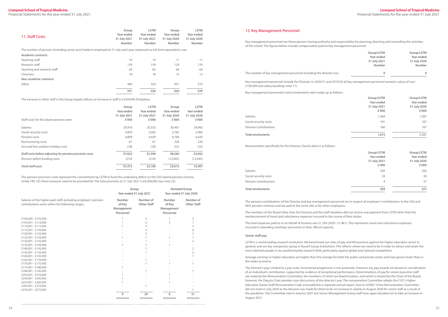Financial Statements for the year ended 31 July 2021

| 11. Staff Costs                                                                                                               | Group<br>Year ended<br>31 July 2021<br>Number | <b>LSTM</b><br>Year ended<br>31 July 2021<br>Number | Group<br>Year ended<br>31 July 2020<br>Number | <b>LSTM</b><br>Year ended<br>31 July 2020<br>Number |
|-------------------------------------------------------------------------------------------------------------------------------|-----------------------------------------------|-----------------------------------------------------|-----------------------------------------------|-----------------------------------------------------|
| The number of persons (including senior post holders) employed at 31 July each year, expressed as full-time equivalents, was: |                                               |                                                     |                                               |                                                     |
| Academic contracts                                                                                                            |                                               |                                                     |                                               |                                                     |
| Teaching staff                                                                                                                | 10                                            | 10                                                  | 11                                            | 11                                                  |
| Research staff                                                                                                                | 139                                           | 139                                                 | 129                                           | 129                                                 |
| Teaching and research staff                                                                                                   | 65                                            | 65                                                  | 64                                            | 64                                                  |
| Clinicians                                                                                                                    | 18                                            | 18                                                  | 15                                            | 15                                                  |
| Non-academic contracts                                                                                                        |                                               |                                                     |                                               |                                                     |
| Other                                                                                                                         | 469                                           | 324                                                 | 431                                           | 310                                                 |
|                                                                                                                               | 701                                           | 556                                                 | 650                                           | 529                                                 |

The increase in other staff in the Group largely reflects an increase in staff in CeSHHAR Zimbabwe.

| Staff costs for the above persons were:                  | Group<br>Year ended<br>31 July 2021<br>£'000 | <b>LSTM</b><br>Year ended<br>31 July 2021<br>£'000 | Group<br>Year ended<br>31 July 2020<br>£'000 | <b>LSTM</b><br>Year ended<br>31 July 2020<br>£'000 |
|----------------------------------------------------------|----------------------------------------------|----------------------------------------------------|----------------------------------------------|----------------------------------------------------|
| <b>Salaries</b>                                          | 29,916                                       | 25,333                                             | 30,461                                       | 24,992                                             |
| Social security costs                                    | 2,854                                        | 2,585                                              | 2.783                                        | 2,482                                              |
| Pension costs                                            | 4,809                                        | 4,429                                              | 4,768                                        | 4,420                                              |
| Restructuring costs                                      | 61                                           | 61                                                 | 226                                          | 226                                                |
| Accrued but untaken holiday costs                        | (18)                                         | (18)                                               | 322                                          | 322                                                |
| Staff costs before adjusting for pension provision costs | 37,622                                       | 32,390                                             | 38,560                                       | 32,442                                             |
| Pension deficit funding costs                            | (210)                                        | (210)                                              | (12, 945)                                    | (12, 945)                                          |
| <b>Total staff costs</b>                                 | 37,412                                       | 32,180                                             | 25,615                                       | 19,497                                             |

The pension provision costs represent the commitment by LSTM to fund the underlying deficit on the USS hybrid pension scheme. Under FRS 102 these amounts need to be provided for. The total provision at 31 July 2021 is £9,206,000 (see note 23).

|                                                                                                                    | Group<br>Year ended 31 July 2021            |                                 | <b>Restated Group</b><br>Year ended 31 July 2020 |                                 |
|--------------------------------------------------------------------------------------------------------------------|---------------------------------------------|---------------------------------|--------------------------------------------------|---------------------------------|
| Salaries of the higher paid staff, excluding employer's pension<br>contributions were within the following ranges: | Number<br>of Key<br>Management<br>Personnel | Number of<br><b>Other Staff</b> | Number<br>of Key<br>Management<br>Personnel      | Number of<br><b>Other Staff</b> |
| £100,000 - £105,000                                                                                                |                                             | 4                               |                                                  | 3                               |
| £105,001 - £110,000                                                                                                |                                             | 3                               |                                                  | 7                               |
| £110,001 - £115,000                                                                                                |                                             |                                 |                                                  | 2                               |
| £115,001 - £120,000                                                                                                |                                             |                                 |                                                  | 6                               |
| £120,001 - £125,000                                                                                                |                                             |                                 |                                                  | 2                               |
| £125,001 - £130,000                                                                                                |                                             |                                 |                                                  |                                 |
| £130,001 - £135,000                                                                                                |                                             |                                 |                                                  | 2                               |
| £135,001 - £140,000                                                                                                |                                             |                                 |                                                  |                                 |
| £140,001 - £145,000                                                                                                |                                             |                                 |                                                  | 2                               |
| £145,001 - £150,000                                                                                                |                                             |                                 |                                                  | 2                               |
| £160,001 - £165,000                                                                                                |                                             |                                 |                                                  |                                 |
| £165,001 - £170,000                                                                                                |                                             |                                 |                                                  |                                 |
| £170,001 - £175,000                                                                                                |                                             |                                 |                                                  |                                 |
| £175,001 - £180,000                                                                                                |                                             |                                 |                                                  |                                 |
| £180,001 - £185,000                                                                                                |                                             |                                 |                                                  |                                 |
| £205,001 - £210,000                                                                                                |                                             |                                 |                                                  |                                 |
| £240,001 - £245,000                                                                                                |                                             |                                 |                                                  |                                 |
| £255,001 - £260,000                                                                                                |                                             |                                 |                                                  |                                 |
| £265,001 - £270,000                                                                                                |                                             |                                 |                                                  |                                 |
| £270,001 - £275,000                                                                                                |                                             |                                 |                                                  |                                 |
|                                                                                                                    | 9                                           | 29                              | 9                                                | 31                              |

#### 12. Key Management Personnel

Key management personnel are those persons having authority and responsibility for planning, directing and controlling the activities of the school. The figures below include compensation paid to key management personnel.

|   | Group/LSTM    | Group/LSTM    |
|---|---------------|---------------|
|   | Year ended    | Year ended    |
|   | 31 July 2021  | 31 July 2020  |
|   | <b>Number</b> | <b>Number</b> |
|   |               |               |
| ÷ | q             | g             |

The number of key management personnel including the director was: **9 9**

Key management personnel include the Director. In 2020/21 and 2019/20 all key management personnel earned a salary of over £100,000 (see salary bandings note 11).

Key management personnel's total emoluments were made up as follows:

| laries              |  |
|---------------------|--|
| cial security costs |  |
| nsion Contributions |  |

|                              | Group/LSTM<br>Year ended<br>31 July 2021<br>£'000 | Group/LSTM<br>Year ended<br>31 July 2020<br>£'000 |
|------------------------------|---------------------------------------------------|---------------------------------------------------|
| <b>Salaries</b>              | 1,464                                             | 1,387                                             |
| Social security costs        | 191                                               | 167                                               |
| <b>Pension Contributions</b> | 160                                               | 167                                               |
| <b>Total emoluments</b>      | 1,815                                             | 1,721                                             |

The pension contributions of the Director and key management personnel are in respect of employer's contributions to the USS and NHS pension schemes and are paid at the same rate as for other employees.

The members of the Board other than the Director and the staff members did not receive any payment from LSTM other than the reimbursement of travel and subsistence expenses incurred in the course of their duties.

The total expenses paid to or on behalf of trustees was £1,704 (2020 : £1,961). This represents travel and subsistence expenses incurred in attending meetings and events in their official capacity.

#### **Senior staff pay**

LSTM is a world leading research institution. We benchmark our rates of pay and HR practices against the higher education sector in general, and our key comparator group is Russell Group institutions. This reflects where we need to be in order to attract and retain the most talented people in our predominantly research field, particularly against global and national competition.

Average earnings in higher education are higher than the average for both the public and private sector and have grown faster than in the wider economy.

The Director's pay is linked to a pay scale. Incremental progression is not automatic, however any pay awards are based on consideration of an individual's contribution, supported by evidence of exceptional performance. Determinations of pay for senior executive staff are made by the Remuneration Committee, the members of which are Board trustees, and which is chaired by the Chair of the Board; however, the Deputy Chair presides over discussions of the director's pay. The remuneration Committee adopts the CUC's Higher Education Senior Staff Remuneration Code and publishes a separate annual report. Due to COVID-19 the Remuneration Committee did not meet in July 2020 as the decision was made for there to be no increase in salaries in August 2020 for senior staff as a result of the pandemic. The Committee met in autumn 2021 but Senior Management Group staff have again decided not to take an increase in August 2021.

Remuneration specifically for the Director, David Lalloo is as follows :

## Social security costs Pension Contributions

|                              | Group/LSTM<br>Year ended<br>31 July 2021<br>£'000 | Group/LSTM<br>Year ended<br>31 July 2020<br>£'000 |
|------------------------------|---------------------------------------------------|---------------------------------------------------|
| <b>Salaries</b>              | 256                                               | 256                                               |
| Social security costs        | 34                                                | 34                                                |
| <b>Pension Contributions</b> | 4                                                 | 37                                                |
| <b>Total emoluments</b>      | 294                                               | 327                                               |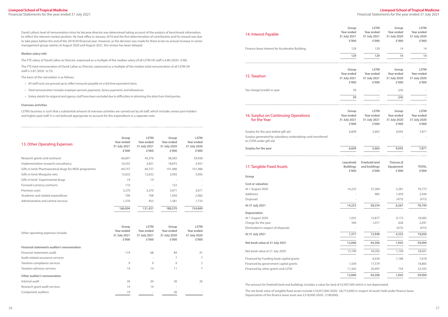Financial Statements for the year ended 31 July 2021

| 13. Other Operating Expenses                          | Group<br>Year ended<br>31 July 2021<br>£'000 | <b>LSTM</b><br>Year ended<br>31 July 2021<br>£'000 | Group<br>Year ended<br>31 July 2020<br>£'000 | <b>LSTM</b><br>Year ended<br>31 July 2020<br>£'000 |
|-------------------------------------------------------|----------------------------------------------|----------------------------------------------------|----------------------------------------------|----------------------------------------------------|
| Research grants and contracts                         | 66,607                                       | 45,276                                             | 58,583                                       | 39,928                                             |
| Implementation research consultancy                   | 16,535                                       | 3,821                                              | 18,875                                       | 3,457                                              |
| Gifts in kind: Pharmaceutical drugs for MDA programme | 64,757                                       | 64,757                                             | 101,486                                      | 101,486                                            |
| Gifts in kind: Mosquito nets                          | 12,632                                       | 12,632                                             | 3,092                                        | 3,092                                              |
| Gifts in kind: Experimental drugs                     | 14                                           | 14                                                 |                                              |                                                    |
| Forward currency contracts                            | 110                                          |                                                    | 152                                          |                                                    |
| Premises costs                                        | 3,270                                        | 3,270                                              | 3,071                                        | 3,071                                              |
| Academic and related expenditure                      | 709                                          | 708                                                | 1,930                                        | 2,082                                              |
| Administrative and central services                   | 1,370                                        | 953                                                | 1,381                                        | 1,733                                              |
|                                                       | 166,004                                      | 131,431                                            | 188,570                                      | 154,849                                            |

David Lalloo's level of remuneration since he became director was determined taking account of the analysis of benchmark information to reflect the relevant market position. He took office in January 2019 and the first determination of contribution and his reward was due to take place before the end of the 2019/20 financial year. However, as the decision was made for there to be no annual increase in senior management group salaries at August 2020 and August 2021, this review has been delayed.

#### **Median salary info**

The FTE salary of David Lalloo as Director, expressed as a multiple of the median salary of all LSTM UK staff is 6.80 (2020 : 6.96).

The FTE total remuneration of David Lalloo as Director, expressed as a multiple of the median total remuneration of all LSTM UK staff is 5.87 (2020 : 6.73).

The basis of the calculation is as follows:

- *• All staff costs are grossed up to reflect amounts payable on a full time equivalent basis.*
- *• Total remuneration includes employer pension payments, bonus payments and allowances.*
- *• Salary details for atypical and agency staff have been excluded due to difficulties in obtaining the data from third parties.*

#### **Overseas activities**

LSTM's business is such that a substantial amount of overseas activities are carried out by all staff, which includes senior post-holders and higher paid staff. It is not believed appropriate to account for this expenditure in a separate note.

| Other operating expenses include:           | Group<br>Year ended<br>31 July 2021<br>£'000 | <b>LSTM</b><br>Year ended<br>31 July 2021<br>£'000 | Group<br>Year ended<br>31 July 2020<br>£'000 | <b>LSTM</b><br>Year ended<br>31 July 2020<br>£'000 |
|---------------------------------------------|----------------------------------------------|----------------------------------------------------|----------------------------------------------|----------------------------------------------------|
| Financial statements auditor's remuneration |                                              |                                                    |                                              |                                                    |
| Financial statements audit                  | 119                                          | 68                                                 | 84                                           | 41                                                 |
| Audit related assurance services            | $\overline{\phantom{a}}$                     | $\sim$                                             | 7                                            |                                                    |
| Taxation compliance services                | 9                                            | 9                                                  | 9                                            | 2                                                  |
| Taxation advisory services                  | 14                                           | 14                                                 | 11                                           | 7                                                  |
| Other auditor's remuneration                |                                              |                                                    |                                              |                                                    |
| Internal audit                              | 30                                           | 30                                                 | 26                                           | 26                                                 |
| Research grant audit services               | 14                                           | 14                                                 | $\overline{\phantom{a}}$                     |                                                    |
| Component auditors                          | 19                                           |                                                    | 26                                           |                                                    |

#### 14. Interest Payable

#### 15. Taxation

#### 16. Surplus on Continuing Operations for the Year

| 14. Interest Payable                                                                                                           | Group<br>Year ended<br>31 July 2021<br>£'000 | <b>LSTM</b><br>Year ended<br>31 July 2021<br>£'000 | Group<br>Year ended<br>31 July 2020<br>£'000 | <b>LSTM</b><br>Year ended<br>31 July 2020<br>£'000 |
|--------------------------------------------------------------------------------------------------------------------------------|----------------------------------------------|----------------------------------------------------|----------------------------------------------|----------------------------------------------------|
| Finance lease interest for Accelerator Building                                                                                | 129                                          | 129                                                | 14                                           | 14                                                 |
|                                                                                                                                | 129                                          | 129                                                | 14                                           | 14                                                 |
| 15. Taxation                                                                                                                   | Group<br>Year ended<br>31 July 2021<br>£'000 | <b>LSTM</b><br>Year ended<br>31 July 2021<br>£'000 | Group<br>Year ended<br>31 July 2020<br>£'000 | <b>LSTM</b><br>Year ended<br>31 July 2020<br>£'000 |
| Tax charge/(credit) in year                                                                                                    | 39                                           |                                                    | (24)                                         |                                                    |
|                                                                                                                                | 39                                           |                                                    | (24)                                         |                                                    |
| 16. Surplus on Continuing Operations<br>for the Year                                                                           | Group<br>Year ended<br>31 July 2021<br>£'000 | <b>LSTM</b><br>Year ended<br>31 July 2021<br>£'000 | Group<br>Year ended<br>31 July 2020<br>£'000 | <b>LSTM</b><br>Year ended<br>31 July 2020<br>£'000 |
| Surplus for the year before gift aid<br>Surplus generated by subsidiary undertakings and transferred<br>to LSTM under gift aid | 6,609                                        | 5,665                                              | 9,043                                        | 7,871                                              |
| Surplus for the year                                                                                                           | 6,609                                        | 5,665                                              | 9,043                                        | 7,871                                              |
| 17. Tangible Fixed Assets                                                                                                      | Leasehold<br><b>Buildings</b><br>£'000       | <b>Freehold land</b><br>and buildings<br>£'000     | <b>Fixtures &amp;</b><br>Equipment<br>£'000  | <b>TOTAL</b><br>£'000                              |
| Group                                                                                                                          |                                              |                                                    |                                              |                                                    |
| Cost or valuation<br>At 1 August 2020<br>Additions<br>Disposals                                                                | 14,223                                       | 57,269<br>985                                      | 5,281<br>1,459<br>(473)                      | 76,773<br>2,444<br>(473)<br>78,744                 |
| At 31 July 2021                                                                                                                | 14,223                                       | 58,254                                             | 6,267                                        |                                                    |
| Depreciation<br>At 1 August 2020<br>Charge for the year<br>Eliminated in respect of disposals                                  | 1,033<br>344                                 | 12,877<br>1,071                                    | 4,172<br>626<br>(473)                        | 18,082<br>2,041<br>(473)                           |
| At 31 July 2021                                                                                                                | 1,377                                        | 13,948                                             | 4,325                                        | 19,650                                             |
| Net book value at 31 July 2021                                                                                                 | 12,846                                       | 44,306                                             | 1,942                                        | 59,094                                             |
| Net book value at 31 July 2020                                                                                                 | 13,190                                       | 44,392                                             | 1,109                                        | 58,691                                             |
| Financed by Funding body capital grants<br>Financed by government capital grants<br>Financed by other grants and LSTM          | 1,504<br>11,342                              | 6,430<br>17,379<br>20,497                          | 1,188<br>754                                 | 7,618<br>18,883<br>32,593                          |
|                                                                                                                                | 12,846                                       | 44,306                                             | 1,942                                        | 59,094                                             |

#### 17. Tangible Fixed Assets

#### **Group**

**At 31 July 2021 14,223 58,254 6,267 78,744**

#### **Depreciation**

The amount for freehold land and buildings includes a value for land of £3,907,000 which is not depreciated.

The net book value of tangible fixed assets include £10,057,000 (2020 : £8,772,000) in respect of assets held under finance lease. Depreciation of the finance lease asset was £218,000 (2020 : £189,000).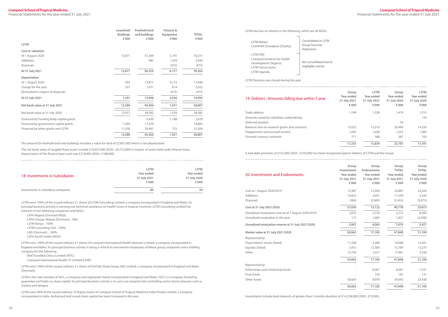Financial Statements for the year ended 31 July 2021

|                                         | Leasehold<br><b>Buildings</b><br>£'000 | <b>Freehold land</b><br>and buildings<br>£'000 | <b>Fixtures &amp;</b><br>Equipment<br>£'000 | <b>TOTAL</b><br>£'000 |
|-----------------------------------------|----------------------------------------|------------------------------------------------|---------------------------------------------|-----------------------|
| <b>LSTM</b>                             |                                        |                                                |                                             |                       |
| Cost or valuation                       |                                        |                                                |                                             |                       |
| At 1 August 2020                        | 13,871                                 | 57,269                                         | 5,191                                       | 76,331                |
| Additions                               |                                        | 985                                            | 1,459                                       | 2,444                 |
| <b>Disposals</b>                        |                                        |                                                | (473)                                       | (473)                 |
| At 31 July 2021                         | 13,871                                 | 58,254                                         | 6,177                                       | 78,302                |
| Depreciation                            |                                        |                                                |                                             |                       |
| At 1 August 2020                        | 954                                    | 12,877                                         | 4,115                                       | 17,946                |
| Charge for the year                     | 337                                    | 1,071                                          | 614                                         | 2,022                 |
| Eliminated in respect of disposals      |                                        |                                                | (473)                                       | (473)                 |
| At 31 July 2021                         | 1,291                                  | 13,948                                         | 4,256                                       | 19,495                |
| Net book value at 31 July 2021          | 12,580                                 | 44,306                                         | 1,921                                       | 58,807                |
| Net book value at 31 July 2020          | 12,917                                 | 44,392                                         | 1,076                                       | 58,385                |
| Financed by Funding body capital grants |                                        | 6,430                                          | 1,188                                       | 7,618                 |
| Financed by government capital grants   | 1,504                                  | 17,379                                         |                                             | 18,883                |
| Financed by other grants and LSTM       | 11,076                                 | 20,497                                         | 733                                         | 32,306                |
|                                         | 12,580                                 | 44,306                                         | 1,921                                       | 58,807                |

The amount for freehold land and buildings includes a value for land of £3,907,000 which is not depreciated.

The net book value of tangible fixed assets include £10,057,000 (2020 : £8,772,000) in respect of assets held under finance lease. Depreciation of the finance lease asset was £218,000 (2020 : £189,000).

| LSTM also has an interest in the following, which are all NGOs:                                                   |                                                              |
|-------------------------------------------------------------------------------------------------------------------|--------------------------------------------------------------|
| - I STM Malawi<br>- CeSHHAR Zimbabwe (Charity)                                                                    | Consolidated in LSTM<br>Group Financial<br><b>Statements</b> |
| - I STM DRC<br>- Liverpool Initiative for Health<br>Development (Nigeria)<br>- LSTM Sierra Leone<br>- LSTM Uganda | Not consolidated due to<br>negligible activity               |
| LSTM Tanzania was closed during the year                                                                          |                                                              |

#### 19. Debtors : Amounts falling due within 1 year

| 19. Debtors: Amounts falling due within 1 year | Group<br>Year ended<br>31 July 2021<br>£'000 | <b>LSTM</b><br>Year ended<br>31 July 2021<br>£'000 | Group<br>Year ended<br>31 July 2020<br>£'000 | <b>LSTM</b><br>Year ended<br>31 July 2020<br>£'000 |
|------------------------------------------------|----------------------------------------------|----------------------------------------------------|----------------------------------------------|----------------------------------------------------|
| Trade debtors                                  | 1,749                                        | 1,328                                              | 1,419                                        | 1,315                                              |
| Amounts owed by subsidiary undertakings        |                                              |                                                    |                                              | 120                                                |
| Deferred taxation                              |                                              |                                                    | 34                                           | $\bar{\phantom{a}}$                                |
| Balances due on research grants and contracts  | 13,022                                       | 12,310                                             | 20,494                                       | 14,320                                             |
| Prepayments and accrued income                 | 1,693                                        | 1,628                                              | 1,553                                        | 1,483                                              |
| Forward currency contracts                     | 771                                          | 568                                                | 287                                          | 103                                                |
|                                                | 17,235                                       | 15,834                                             | 23,787                                       | 17,341                                             |

A bad debt provision of £155,000 (2020 : £270,000) has been recognised against debtors of LSTM and the Group.

#### 20. Investments and Endowments

| 20. Investments and Endowments                       | Group<br>Investments<br>Year ended<br>31 July 2021<br>£'000 | Group<br><b>Endowments</b><br>Year ended<br>31 July 2021<br>£'000 | Group<br><b>TOTAL</b><br>Year ended<br>31 July 2021<br>£'000 | Group<br><b>TOTAL</b><br><b>Year ended</b><br>31 July 2020<br>£'000 |
|------------------------------------------------------|-------------------------------------------------------------|-------------------------------------------------------------------|--------------------------------------------------------------|---------------------------------------------------------------------|
| Cost at 1 August 2020/2019                           | 13,387                                                      | 12,500                                                            | 25,887                                                       | 32,200                                                              |
| <b>Additions</b>                                     | 14,653                                                      | 2,691                                                             | 17,344                                                       | 2,545                                                               |
| <b>Disposals</b>                                     | (384)                                                       | (2,069)                                                           | (2,453)                                                      | (9,072)                                                             |
| Cost at 31 July 2021/2020                            | 27,656                                                      | 13,122                                                            | 40,778                                                       | 25,673                                                              |
| Unrealised revaluation reserve at 1 August 2020/2019 | 2,835                                                       | 2,378                                                             | 5,213                                                        | 8,385                                                               |
| Unrealised revaluation in the year                   | 172                                                         | 1,685                                                             | 1,857                                                        | (2,958)                                                             |
| Unrealised revaluation reserve at 31 July 2021/2020  | 3,007                                                       | 4,063                                                             | 7,070                                                        | 5,427                                                               |
| Market value at 31 July 2021/2020                    | 30,663                                                      | 17,185                                                            | 47,848                                                       | 31,100                                                              |
| Represented by:                                      |                                                             |                                                                   |                                                              |                                                                     |
| Fixed interest stocks (listed)                       | 11,508                                                      | 2,580                                                             | 14,088                                                       | 14,301                                                              |
| Equities (listed)                                    | 3,415                                                       | 12,384                                                            | 15,799                                                       | 13,573                                                              |
| Other                                                | 15,740                                                      | 2,221                                                             | 17,961                                                       | 3,226                                                               |
|                                                      | 30,663                                                      | 17,185                                                            | 47,848                                                       | 31,100                                                              |
| Represented by:                                      |                                                             |                                                                   |                                                              |                                                                     |
| Fellowships and scholarship funds                    |                                                             | 8,061                                                             | 8,061                                                        | 7,531                                                               |
| Prize funds                                          |                                                             | 145                                                               | 145                                                          | 131                                                                 |
| Other funds                                          | 30,663                                                      | 8,979                                                             | 39,642                                                       | 23,438                                                              |
|                                                      | 30,663                                                      | 17,185                                                            | 47,848                                                       | 31,100                                                              |

Investments include bank deposits of greater than 3 months duration of £14,258,000 (2020 : £72,000).

| 18. Investments in Subsidiaries     | <b>LSTM</b>  | <b>LSTM</b>  |
|-------------------------------------|--------------|--------------|
|                                     | Year ended   | Year ended   |
|                                     | 31 July 2021 | 31 July 2020 |
|                                     | £'000        | £'000        |
| Investments in subsidiary companies | 80           | 54           |

LSTM owns 100% of the issued ordinary £1 shares of LSTM Consulting Limited, a company incorporated in England and Wales. Its principal business activity is carrying out technical assistance on health issues in tropical countries. LSTM Consulting Limited has interests in the following companies and NGOs :

- LATH Nigeria (Dormant NGO)

- LATH Umoyo, Malawi (Dormant) 50%
- LSTM Kenya 100%
- LSTM Consulting USA 100%
- LMS (Dormant) 100%
- LATH South Sudan (NGO)

LSTM owns 100% of the issued ordinary £1 shares of Liverpool International Health Ventures Limited, a company incorporated in England and Wales. Its principal business activity is being a vehicle to remunerate employees of fellow group companies and a holding company for the following :

- Well Travelled Clinics Limited (WTC)
- Liverpool International Health I.P. Limited (LIHIP)

LSTM owns 100% of the issued ordinary £1 shares of EchiTab Study Group (UK) Limited, a company incorporated in England and Wales (Dormant).

LSTM is the sole member of IVCC, a company and registered charity incorporated in England and Wales. IVCC is a company limited by guarantee and holds no share capital. Its principal business activity is to carry out research into controlling vector-borne diseases such as malaria and dengue.

LSTM owns 99% of the issued ordinary 10 Rupee shares of Liverpool School of Tropical Medicine India Private Limited, a company incorporated in India. Authorised and issued share capital has been increased in the year.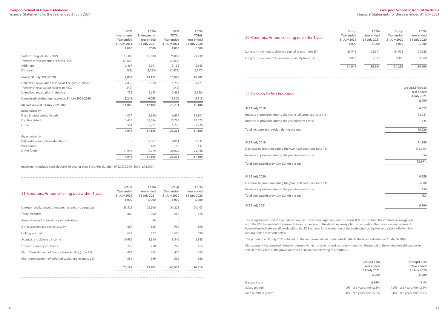Financial Statements for the year ended 31 July 2021

#### **Liverpool School of Tropical Medicine**

Financial Statements for the year ended 31 July 2021

|                                                      | <b>LSTM</b><br>Investments<br>Year ended<br>31 July 2021<br>£'000 | <b>LSTM</b><br><b>Endowments</b><br>Year ended<br>31 July 2021<br>£'000 | <b>LSTM</b><br><b>TOTAL</b><br>Year ended<br>31 July 2021<br>£'000 | <b>LSTM</b><br><b>TOTAL</b><br>Year ended<br>31 July 2020<br>£'000 |
|------------------------------------------------------|-------------------------------------------------------------------|-------------------------------------------------------------------------|--------------------------------------------------------------------|--------------------------------------------------------------------|
| Cost at 1 August 2020/2019                           | 13,387                                                            | 12,500                                                                  | 25,887                                                             | 29,139                                                             |
| Transfer of investments at cost to IVCC              | (7,668)                                                           |                                                                         | (7,668)                                                            |                                                                    |
| Additions                                            | 2,467                                                             | 2,691                                                                   | 5,158                                                              | 2,545                                                              |
| <b>Disposals</b>                                     | (383)                                                             | (2,069)                                                                 | (2,452)                                                            | (5,797)                                                            |
| Cost at 31 July 2021/2020                            | 7,803                                                             | 13,122                                                                  | 20,925                                                             | 25,887                                                             |
| Unrealised revaluation reserve at 1 August 2020/2019 | 2,835                                                             | 2,378                                                                   | 5,213                                                              | 8,171                                                              |
| Transfer of revaluation reserve to IVCC              | (345)                                                             |                                                                         | (345)                                                              |                                                                    |
| Unrealised revaluation in the year                   | 753                                                               | 1,685                                                                   | 2,438                                                              | (2,958)                                                            |
| Unrealised revaluation reserve at 31 July 2021/2020  | 3,243                                                             | 4,063                                                                   | 7,306                                                              | 5,213                                                              |
| Market value at 31 July 2021/2020                    | 11,046                                                            | 17,185                                                                  | 28,231                                                             | 31,100                                                             |
| Represented by:                                      |                                                                   |                                                                         |                                                                    |                                                                    |
| Fixed interest stocks (listed)                       | 4,077                                                             | 2,580                                                                   | 6,657                                                              | 14,301                                                             |
| Equities (listed)                                    | 3,415                                                             | 12,384                                                                  | 15,799                                                             | 13,573                                                             |
| Other                                                | 3,554                                                             | 2,221                                                                   | 5,775                                                              | 3,226                                                              |
|                                                      | 11,046                                                            | 17,185                                                                  | 28,231                                                             | 31,100                                                             |
| Represented by:                                      |                                                                   |                                                                         |                                                                    |                                                                    |
| Fellowships and scholarship funds                    |                                                                   | 8,061                                                                   | 8,061                                                              | 7,531                                                              |
| Prize funds                                          |                                                                   | 145                                                                     | 145                                                                | 131                                                                |
| Other funds                                          | 11,046                                                            | 8,979                                                                   | 20,025                                                             | 23,438                                                             |
|                                                      | 11,046                                                            | 17,185                                                                  | 28,231                                                             | 31,100                                                             |

Decrease in provision during the year (staff costs, see note 11) Increase in provision during the year (interest costs) **Total decrease in provision during the year (12,591)**

Decrease in provision during the year (staff costs, see note 11) Increase in provision during the year (interest costs) **Total decrease in provision during the year (52)**

Investments include bank deposits of greater than 3 months duration of £2,072,000 (2020 : £72,000).

#### 22. Creditors: Amounts falling due after 1 year

Long term element of deferred capital grants (note 25) Long term element of finance lease liability (note 32)

| <b>LSTM</b>    | Group        | <b>LSTM</b>  | Group        |
|----------------|--------------|--------------|--------------|
| Year ended     | Year ended   | Year ended   | Year ended   |
| 31 July 2020   | 31 July 2020 | 31 July 2021 | 31 July 2021 |
| £'000          | £'000        | £'000        | £'000        |
|                |              |              |              |
| 24,928         | 24,928       | 25,911       | 25,911       |
| 9,368          | 9,368        | 9,033        | 9,033        |
| 34,296         | 34,296       | 34,944       | 34,944       |
|                |              |              |              |
| Group/LSTM USS |              |              |              |
| Year ended     |              |              |              |
| 31 July 2021   |              |              |              |
| £'000          |              |              |              |
| 6,623          |              |              |              |
| 15,081         |              |              |              |
| 145            |              |              |              |
| 15,226         |              |              |              |
|                |              |              |              |
| 21,849         |              |              |              |
| (12, 945)      |              |              |              |
| 354            |              |              |              |
| (12, 591)      |              |              |              |
|                |              |              |              |
| 9,258          |              |              |              |
| (210)          |              |              |              |
| 158            |              |              |              |
| (52)           |              |              |              |
| 9,206          |              |              |              |
|                |              |              |              |

#### 23. Pension Deficit Provision

#### **At 31 July 2018 6,623**

Increase in provision during the year (staff costs, see note 11) Increase in provision during the year (interest costs)

**Total increase in provision during the year** 

#### **At 31 July 2019**

#### **At 31 July 2020 9,258**

**At 31 July 2021 9,206**

The obligation to fund the past deficit on the Universities Superannuation Scheme (USS) arises from the contractual obligation with the USS to fund deficit payments in accordance with the deficit recovery plan. In calculating this provision, management have estimated future staff levels within the USS scheme for the duration of the contractual obligation and salary inflation. Key assumptions are set out below.

The provision at 31 July 2021 is based on the sector-mandated model which reflects the latest valuation at 31 March 2018.

Management has assessed future employees within the scheme and salary payment over the period of the contracted obligations to calculate the value of the provision, and has made the following assumptions.

|                      | Group/LSTM                  | Group/LSTM                  |
|----------------------|-----------------------------|-----------------------------|
|                      | Year ended                  | Year ended                  |
|                      | 31 July 2021                | 31 July 2020                |
|                      | £'000                       | £'000                       |
| Discount rate        | 0.79%                       | 1.71%                       |
| Salary growth        | 1.5% 1st 6 years, then 2.5% | 1.5% 1st 6 years, then 2.5% |
| Staff numbers growth | 3.0% 1st 6 years, then 5.0% | 3.0% 1st 6 years, then 5.0% |
|                      |                             |                             |

| 21. Creditors: Amounts falling due within 1 year        | Group<br>Year ended<br>31 July 2021<br>£'000 | <b>LSTM</b><br>Year ended<br>31 July 2021<br>£'000 | Group<br>Year ended<br>31 July 2020<br>£'000 | <b>LSTM</b><br>Year ended<br>31 July 2020<br>£'000 |
|---------------------------------------------------------|----------------------------------------------|----------------------------------------------------|----------------------------------------------|----------------------------------------------------|
| Unexpended balances of research grants and contracts    | 58,521                                       | 26,906                                             | 54,221                                       | 20,403                                             |
| Trade creditors                                         | 882                                          | 700                                                | 287                                          | 176                                                |
| Amounts owed to subsidiary undertakings                 | ٠                                            | 96                                                 | ÷                                            | $\overline{\phantom{a}}$                           |
| Other taxation and social security                      | 867                                          | 856                                                | 950                                          | 896                                                |
| Holiday accrual                                         | 672                                          | 672                                                | 690                                          | 690                                                |
| Accruals and deferred income                            | 10,986                                       | 3,310                                              | 8,546                                        | 3,548                                              |
| Forward currency contracts                              | 272                                          | 120                                                | 247                                          | 114                                                |
| Short Term element of finance lease liability (note 32) | 453                                          | 453                                                | 426                                          | 426                                                |
| Short term element of deferred capital grants (note 25) | 589                                          | 589                                                | 566                                          | 566                                                |
|                                                         | 73,242                                       | 33,702                                             | 65,933                                       | 26,819                                             |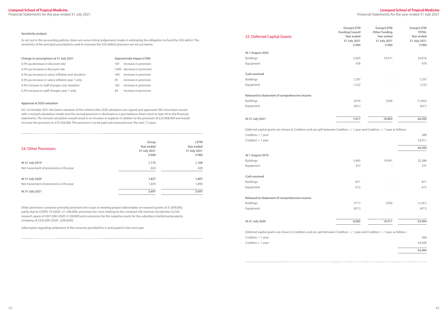Financial Statements for the year ended 31 July 2021

| 25. Deferred Capital Grants                                                                                                     | Group/LSTM<br><b>Funding Council</b><br>Year ended<br>31 July 2021<br>£'000 | Group/LSTM<br><b>Other Funding</b><br>Year ended<br>31 July 2021<br>£'000 | Group/LSTM<br><b>TOTAL</b><br>Year ended<br>31 July 2021<br>£'000 |
|---------------------------------------------------------------------------------------------------------------------------------|-----------------------------------------------------------------------------|---------------------------------------------------------------------------|-------------------------------------------------------------------|
| At 1 August 2020                                                                                                                |                                                                             |                                                                           |                                                                   |
| <b>Buildings</b>                                                                                                                | 5,605                                                                       | 19,411                                                                    | 25,016                                                            |
| Equipment                                                                                                                       | 478                                                                         |                                                                           | 478                                                               |
| Cash received                                                                                                                   |                                                                             |                                                                           |                                                                   |
| <b>Buildings</b>                                                                                                                | 1,297                                                                       |                                                                           | 1,297                                                             |
| Equipment                                                                                                                       | 1,332                                                                       |                                                                           | 1,332                                                             |
| Released to Statement of comprehensive income                                                                                   |                                                                             |                                                                           |                                                                   |
| <b>Buildings</b>                                                                                                                | (474)                                                                       | (528)                                                                     | (1,002)                                                           |
| Equipment                                                                                                                       | (621)                                                                       |                                                                           | (621)                                                             |
| At 31 July 2021                                                                                                                 | 7,617                                                                       | 18,883                                                                    | 26,500                                                            |
| Deferred capital grants are shown in Creditors and are split between Creditors : < 1 year and Creditors : > 1 year as follows : |                                                                             |                                                                           |                                                                   |
| Creditors $<$ 1 year                                                                                                            |                                                                             |                                                                           | 589                                                               |
| Creditors $> 1$ year                                                                                                            |                                                                             |                                                                           | 25,911                                                            |
|                                                                                                                                 |                                                                             |                                                                           | 26,500                                                            |
| At 1 August 2019                                                                                                                |                                                                             |                                                                           |                                                                   |
| <b>Buildings</b>                                                                                                                | 5,445                                                                       | 19,941                                                                    | 25,386                                                            |
| Equipment                                                                                                                       | 537                                                                         |                                                                           | 537                                                               |
| Cash received                                                                                                                   |                                                                             |                                                                           |                                                                   |
| Buildings                                                                                                                       | 871                                                                         |                                                                           | 871                                                               |
| Equipment                                                                                                                       | 612                                                                         |                                                                           | 612                                                               |
| Released to Statement of comprehensive income                                                                                   |                                                                             |                                                                           |                                                                   |
| <b>Buildings</b>                                                                                                                | (711)                                                                       | (530)                                                                     | (1,241)                                                           |
| Equipment                                                                                                                       | (671)                                                                       |                                                                           | (671)                                                             |
| At 31 July 2020                                                                                                                 | 6,083                                                                       | 19,411                                                                    | 25,494                                                            |
| Deferred capital grants are shown in Creditors and are split between Creditors : < 1 year and Creditors : > 1 year as follows : |                                                                             |                                                                           |                                                                   |
| Creditors $<$ 1 year                                                                                                            |                                                                             |                                                                           | 566                                                               |
| Creditors $> 1$ year                                                                                                            |                                                                             |                                                                           | 24,928                                                            |
|                                                                                                                                 |                                                                             |                                                                           |                                                                   |

| 25,494 |
|--------|
| 24,928 |
| 566    |

#### **Sensitivity analysis**

As set out in the accounting policies, there are some critical judgements made in estimating the obligation to fund the USS deficit. The sensitivity of the principal assumptions used to measure the USS deficit provision are set out below:

| Change in assumptions at 31 July 2021              |     | Approximate impact £'000    |
|----------------------------------------------------|-----|-----------------------------|
| 0.5% pa decrease in discount rate                  | 187 | Increase in provision       |
| 0.5% pa increase in discount rate                  |     | (180) decrease in provision |
| 0.5% pa increase in salary inflation over duration | 184 | Increase in provision       |
| 0.5% pa increase in salary inflation year 1 only   | 45  | Increase in provision       |
| 0.5% increase in staff changes over duration       | 182 | Increase in provision       |
| 0.5% increase in staff changes year 1 only         | 44  | Increase in provision       |

## **Canage impact £'000** rease in provision crease in provision rease in provision rease in provision rease in provision

#### **Approval of 2020 valuation**

On 1st October 2021 the latest valuation of the scheme (the 2020 valuation) was signed and approved. HEIs have been issued with a revised calculation model and the revised provision is disclosed as a post balance sheet event in note 39 to the financial statements. The revised calculation would result in an increase in expense in relation to the provision of £23,958,000 and would increase the provision to £33,164,000. The provision is to be paid out/unwound over the next 17 years.

|                                        | Group        | <b>LSTM</b>  |
|----------------------------------------|--------------|--------------|
|                                        | Year ended   | Year ended   |
| 24. Other Provisions                   | 31 July 2021 | 31 July 2021 |
|                                        | £'000        | £'000        |
| At 31 July 2019                        | 1,173        | 1,168        |
| Net movement of provisions in the year | 654          | 639          |
|                                        |              |              |
| At 31 July 2020                        | 1,827        | 1,807        |
| Net movement of provisions in the year | 1,870        | 1,890        |
| At 31 July 2021                        | 3,697        | 3,697        |

Other provisions comprise primarily provisions for issues in meeting project deliverables on research grants of £1,859,000, partly due to COVID-19 (2020 : £1,106,000), provisions for costs relating to the Liverpool Life Sciences Accelerator (LLSA) research space of £927,000 (2020 :£128,000) and a provision for the negative assets for the subsidiary intellectual property company of £335,000 (2020 : £293,000).

Information regarding settlement of the amounts provided for is anticipated in the next year.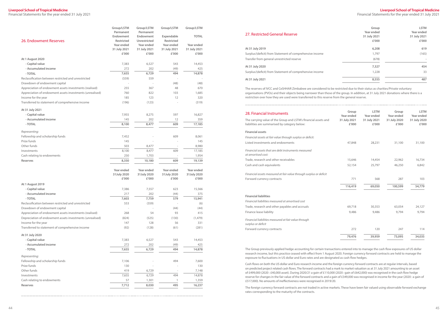Financial Statements for the year ended 31 July 2021

#### **Liverpool School of Tropical Medicine**

Financial Statements for the year ended 31 July 2021

| 26. Endowment Reserves                                    | Group/LSTM<br>Permanent<br>Endowment<br><b>Restricted</b> | Group/LSTM<br>Permanent<br>Endowment<br>Unrestricted | Group/LSTM<br>Expendable<br>Restricted | Group/LSTM<br><b>TOTAL</b> |
|-----------------------------------------------------------|-----------------------------------------------------------|------------------------------------------------------|----------------------------------------|----------------------------|
|                                                           | Year ended                                                | Year ended                                           | Year ended                             | Year ended                 |
|                                                           | 31 July 2021                                              | 31 July 2021                                         | 31 July 2021                           | 31 July 2021               |
|                                                           | £'000                                                     | £'000                                                | £'000                                  | £'000                      |
| At 1 August 2020                                          |                                                           |                                                      |                                        |                            |
| - Capital value                                           | 7,383                                                     | 6,527                                                | 543                                    | 14,453                     |
| - Accumulated income                                      | 272                                                       | 202                                                  | (49)                                   | 425                        |
| - TOTAL                                                   | 7,655                                                     | 6,729                                                | 494                                    | 14,878                     |
| Reclassification between restricted and unrestricted      | (559)                                                     | 559                                                  |                                        |                            |
| Drawdown of endowment capital                             |                                                           |                                                      | (48)                                   | (48)                       |
| Appreciation of endowment assets investments (realised)   | 255                                                       | 367                                                  | 48                                     | 670                        |
| Appreciation of endowment assets investments (unrealised) | 760                                                       | 822                                                  | 103                                    | 1,685                      |
| Income for the year                                       | 185                                                       | 123                                                  | 12                                     | 320                        |
| Transferred to statement of comprehensive income          | (196)                                                     | (123)                                                |                                        | (319)                      |
| At 31 July 2021                                           |                                                           |                                                      |                                        |                            |
| - Capital value                                           | 7,955                                                     | 8,275                                                | 597                                    | 16,827                     |
| - Accumulated income                                      | 145                                                       | 202                                                  | 12                                     | 359                        |
| - TOTAL                                                   | 8,100                                                     | 8,477                                                | 609                                    | 17,185                     |
| Representing:                                             |                                                           |                                                      |                                        |                            |
| Fellowship and scholarship funds                          | 7,452                                                     |                                                      | 609                                    | 8,061                      |
| Prize funds                                               | 145                                                       |                                                      |                                        | 145                        |
| Other funds                                               | 503                                                       | 8,477                                                |                                        | 8,980                      |
| Investments                                               | 8,100                                                     | 8,477                                                | 609                                    | 17,185                     |
| Cash relating to endowments                               | 250                                                       | 1,703                                                |                                        | 1,954                      |
| <b>Reserves</b>                                           | 8,350                                                     | 10,180                                               | 609                                    | 19,139                     |
|                                                           | Year ended                                                | Year ended                                           | Year ended                             | Year ended                 |
|                                                           | 31July 2020                                               | 31July 2020                                          | 31July 2020                            | 31July 2020                |
|                                                           | £'000                                                     | £'000                                                | £'000                                  | £'000                      |
| At 1 August 2019                                          |                                                           |                                                      |                                        |                            |
| - Capital value                                           | 7,386                                                     | 7,557                                                | 623                                    | 15,566                     |
| - Accumulated income                                      | 217                                                       | 202                                                  | (44)                                   | 375                        |
| - TOTAL                                                   | 7,603                                                     | 7,759                                                | 579                                    | 15,941                     |
| Reclassification between restricted and unrestricted      | 553                                                       | (559)                                                |                                        | (6)                        |
| Drawdown of endowment capital                             |                                                           |                                                      | (44)                                   | (44)                       |
| Appreciation of endowment assets investments (realised)   | 268                                                       | 54                                                   | 93                                     | 415                        |
| Depreciation of endowment assets investments (unrealised) | (824)                                                     | (525)                                                | (130)                                  | (1, 479)                   |
| Income for the year                                       | 147                                                       | 128                                                  | 56                                     | 331                        |
| Transferred to statement of comprehensive income          | (92)                                                      | (128)                                                | (61)                                   | (281)                      |
| At 31 July 2020                                           |                                                           |                                                      |                                        |                            |
| - Capital value                                           | 7,383                                                     | 6,527                                                | 543                                    | 14,453                     |
| - Accumulated income                                      | 272                                                       | 202                                                  | (49)                                   | 425                        |
| - TOTAL                                                   | 7,655                                                     | 6,729                                                | 494                                    | 14,878                     |
| Representing:                                             |                                                           |                                                      |                                        |                            |
| Fellowship and scholarship funds                          | 7,106                                                     |                                                      | 494                                    | 7,600                      |
| Prize funds                                               | 130                                                       |                                                      |                                        | 130                        |
| Other funds                                               | 419                                                       | 6,729                                                |                                        | 7,148                      |
| Investments                                               | 7,655                                                     | 6,729                                                | 494                                    | 14,878                     |
| Cash relating to endowments                               | 57                                                        | 1,301                                                | 1                                      | 1,359                      |
| Reserves                                                  | 7,712                                                     | 8,030                                                | 495                                    | 16,237                     |

Surplus/(deficit) from Statement of comprehensive income Transfer from general unrestricted reserve (678) **-**

#### 27. Restricted General Reserve

| Group<br>Year ended<br>31 July 2021<br>£'000 | <b>LSTM</b><br>Year ended<br>31 July 2021<br>£'000 |
|----------------------------------------------|----------------------------------------------------|
| 6,208                                        | 619                                                |
| 1,797                                        | (165)                                              |
| (678)                                        |                                                    |
| 7,327                                        | 454                                                |
| 1,228                                        | 33                                                 |
| 8,555                                        | 487                                                |

#### **At 31 July 2019 6,208 619**

#### **At 31 July 2020 7,327 454**

Surplus/(deficit) from Statement of comprehensive income

#### **At 31 July 2021 8,555 487**

The reserves of IVCC and CeSHHAR Zimbabwe are considered to be restricted due to their status as charities/Private voluntary organisations (PVOs) and their objects being narrower than those of the group. In addition, at 31 July 2021 donations where there is a restriction over how they are used were transferred to this reserve from the general reserve.

#### 28. Financial Instruments

#### **Financial assets**

| 28. Financial Instruments                                                                                        | Group<br>Year ended   | <b>LSTM</b><br>Year ended | Group<br>Year ended   | <b>LSTM</b><br>Year ended |
|------------------------------------------------------------------------------------------------------------------|-----------------------|---------------------------|-----------------------|---------------------------|
| The carrying value of the Group and LSTM's financial assets and<br>liabilities are summarised by category below: | 31 July 2021<br>£'000 | 31 July 2021<br>£'000     | 31 July 2020<br>£'000 | 31 July 2020<br>£'000     |
| <b>Financial assets</b>                                                                                          |                       |                           |                       |                           |
| Financial assets at fair value through surplus or deficit:                                                       |                       |                           |                       |                           |
| Listed investments and endowments                                                                                | 47,848                | 28,231                    | 31,100                | 31,100                    |
| Financial assets that are debt instruments measured<br>at amortised cost:                                        |                       |                           |                       |                           |
| Trade, research and other receivables                                                                            | 15,646                | 14,454                    | 22,962                | 16,734                    |
| Cash and cash equivalents                                                                                        | 52,154                | 25,797                    | 46,250                | 6,842                     |
| Financial assets measured at fair value through surplus or deficit                                               |                       |                           |                       |                           |
| Forward currency contracts                                                                                       | 771                   | 568                       | 287                   | 103                       |
|                                                                                                                  | 116,419               | 69,050                    | 100,599               | 54,779                    |
| <b>Financial liabilities</b>                                                                                     |                       |                           |                       |                           |
| Financial liabilities measured at amortised cost                                                                 |                       |                           |                       |                           |
| Trade, research and other payables and accruals                                                                  | 69,718                | 30,353                    | 63,054                | 24,127                    |
| Finance lease liability                                                                                          | 9,486                 | 9,486                     | 9,794                 | 9,794                     |
| Financial liabilities measured at fair value through<br>surplus or deficit                                       |                       |                           |                       |                           |
| Forward currency contracts                                                                                       | 272                   | 120                       | 247                   | 114                       |
|                                                                                                                  | 79,476                | 39,959                    | 73,095                | 34,035                    |
|                                                                                                                  |                       |                           |                       |                           |

#### **Financial liabilities**

The Group previously applied hedge accounting for certain transactions entered into to manage the cash flow exposures of US dollar research income, but this practice ceased with effect from 1 August 2020. Foreign currency forward contracts are held to manage the exposure to fluctuations in US dollar and Euro rates and are designated as cash flow hedges.

Cash flows on both the US dollar and Euro research income and the foreign currency forward contracts are at regular intervals, based on predicted project related cash flows. The forward contracts had a mark to market valuation as at 31 July 2021 amounting to an asset of £499,000 (2020 : £40,000 asset). During 2020/21 a gain of £110,000 (2020 : gain of £642,000) was recognised in the cash flow hedge reserve for changes in the fair value of the forward contracts and a gain of £349,000 was recognised in income for the year (2020 : a gain of £517,000). No amounts of ineffectiveness were recognised in 2019/20.

The foreign currency forward contracts are not traded in active markets. These have been fair valued using observable forward exchange rates corresponding to the maturity of the contracts.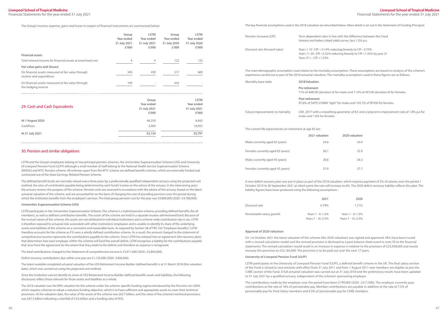Financial Statements for the year ended 31 July 2021

#### **Liverpool School of Tropical Medicine** Financial Statements for the year ended 31 July 2021

with the difference between the Fixed I curves, less 1.3% p.a.

ing linearly to CPI - 0.73%  $\frac{21}{10}$  linearly to CPI +1.55% by year 21

or males and 112% of AFC00 (duration 0) for females.

 $\frac{1}{2}$  for males and 102.7% of RFV00 for females

Future improvements to mortality CMI\_2017 with a smoothing parameter of 8.5 and a long term improvement rate of 1.8% p.a for

The Group's income, expense, gains and losses in respect of financial instruments are summarised below:

|                                                                              | Group<br>Year ended<br>31 July 2021<br>£'000 | <b>LSTM</b><br>Year ended<br>31 July 2021<br>£'000 | Group<br>Year ended<br>31 July 2020<br>£'000 | <b>LSTM</b><br>Year ended<br>31 July 2020<br>£'000 |
|------------------------------------------------------------------------------|----------------------------------------------|----------------------------------------------------|----------------------------------------------|----------------------------------------------------|
| <b>Financial assets</b>                                                      |                                              |                                                    |                                              |                                                    |
| Total interest income for financial assets at amortised cost                 | 4                                            | 4                                                  | 122                                          | 122                                                |
| Fair value gains and (losses)                                                |                                              |                                                    |                                              |                                                    |
| On financial assets measured at fair value through<br>income and expenditure | 349                                          | 459                                                | 517                                          | 669                                                |
| On financial assets measured at fair value through<br>the hedging reserve    | 109                                          | -                                                  | 642                                          |                                                    |

The defined benefit funds are normally valued every three years by a professionally qualified independent actuary using the projected unit method, the rates of contribution payable being determined by each fund's trustee on the advice of the actuary. In the intervening years the actuary reviews the progress of the scheme. Pension costs are assessed in accordance with the advice of the actuary, based on the latest actuarial valuation of the scheme, and are accounted for on the basis of charging the cost of providing pensions over the period during which the institution benefits from the employee's services. The total group pension cost for the year was £4,809,000 (2020 : £4,768,000).

| 29. Cash and Cash Equivalents | Group<br>Year ended<br>31 July 2021<br>£'000 | <b>LSTM</b><br>Year ended<br>31 July 2021<br>£'000 |
|-------------------------------|----------------------------------------------|----------------------------------------------------|
| At 1 August 2020              | 46,250                                       | 6,842                                              |
| Cashflows                     | 5,904                                        | 18,955                                             |
| At 31 July 2021               | 52,154                                       | 25,797                                             |

#### 30. Pension and similar obligations

LSTM and the Group's employees belong to two principal pension schemes, the Universities Superannuation Scheme (USS) and University of Liverpool Pension Fund (ULPF) although a small number of staff belong to the National Health Service Superannuation Scheme (NHSSS) and WTC Pension scheme. All schemes apart from the WTC scheme are defined benefit schemes, which are externally funded and contracted out of the State Earnings-Related Pension Scheme.

#### **Universities Superannuation Scheme (USS)**

LSTM participates in the Universities Superannuation Scheme. The scheme is a hybrid pension scheme, providing defined benefits (for all members), as well as defined contribution benefits. The assets of the scheme are held in a separate trustee-administered fund. Because of the mutual nature of the scheme, the assets are not attributed to individual institutions and a scheme-wide contribution rate is set. LSTM is therefore exposed to actuarial risks associated with other institutions' employees and is unable to identify its share of the underlying assets and liabilities of the scheme on a consistent and reasonable basis. As required by Section 28 of FRS 102 "Employee benefits", LSTM therefore accounts for the scheme as if it were a wholly defined contribution scheme. As a result, the amount charged to the statement of comprehensive income represents the contributions payable to the scheme. Since LSTM has entered into an agreement (the recovery plan) that determines how each employer within the scheme will fund the overall deficit, LSTM recognises a liability for the contributions payable that arise from the agreement (to the extent that they relate to the deficit) and therefore an expense is recognised.

The total contributions charged to the Statement of comprehensive income is £3,911,000 (2020 : £3,845,000).

Deficit recovery contributions due within one year are £1,125,000 (2020 : £406,000).

The latest available completed actuarial valuation of the USS Retirement Income Builder (defined benefit) is at 31 March 2018 (the valuation date), which was carried out using the projected unit method.

Since the institution cannot identify its share of USS Retirement Income Builder (defined benefit) assets and liabilities, the following disclosures reflect those relevant for those assets and liabilities as a whole.

The 2018 valuation was the fifth valuation for the scheme under the scheme-specific funding regime introduced by the Pensions Act 2004, which requires schemes to adopt a statutory funding objective, which is to have sufficient and appropriate assets to cover their technical provisions. At the valuation date, the value of the assets of the scheme was £63.7 billion, and the value of the scheme's technical provisions was £67.3 billion indicating a shortfall of £3.6 billion and a funding ratio of 95%.

The key financial assumptions used in the 2018 valuation are described below. More detail is set out in the Statement of Funding Principals

| Pension increases (CPI)       | Term dependent rates in line v<br>Interest and Index Linked yield                              |
|-------------------------------|------------------------------------------------------------------------------------------------|
| Discount rate (forward rates) | Years 1-10 : CPI + 0.14% reduci<br>Years 11-20 : CPI +2.52% reduc<br>Years $21 + :$ CPI +1.55% |

The main demographic assumption used relates to the mortality assumptions. These assumptions are based on analysis of the scheme's experience carried out as part of the 2018 actuarial valuation. The mortality assumptions used in these figures are as follows:

| Mortality base table                                        | 2018 Valuation                                          |
|-------------------------------------------------------------|---------------------------------------------------------|
|                                                             | Pre retirement<br>71% of AMC00 (duration 0) fo          |
|                                                             | Post retirement<br>97.6% of SAPS S1NMA "light"          |
| Future improvements to mortality                            | CMI 2017 with a smoothing<br>males and 1.6% for females |
| The current life expectancies on retirement at age 65 are : |                                                         |

| 2020 valuation |      |
|----------------|------|
|                | 24.4 |
|                | 25.9 |
|                | 26.3 |
|                |      |

|                                   | 2021 valuation | 2020 valuation |
|-----------------------------------|----------------|----------------|
| Males currently aged 65 (years)   | 24.6           | 24.4           |
| Females currently aged 65 (years) | 26.1           | 25.9           |
| Males currently aged 45 (years)   | 26.6           | 26.3           |
| Females currently aged 45 (years) | 27.9           | 27.7           |

A new deficit recovery plan was put in place as part of the 2018 valuation, which requires payment of 2% of salaries over the period 1 October 2019 to 30 September 2021 at which point the rate will increase to 6%. The 2020 deficit recovery liability reflects this plan. The liability figures have been produced using the following assumptions :

|                           | 2021                                    | 2020                                    |
|---------------------------|-----------------------------------------|-----------------------------------------|
| Discount rate             | 0.79%                                   | 1.71%                                   |
| Pensionable salary growth | Years 1 - 6: 1.5%<br>Years 7 - 16: 2.5% | Years 1 - 6: 1.5%<br>Years 7 - 16: 2.5% |

| 2021 | 2020               |
|------|--------------------|
| .79% | 1.71%              |
| 1.5% | Years 1 - 6: 1.5%  |
| 2.5% | Years 7 - 16: 2.5% |

#### **Approval of 2020 valuation**

On 1st October 2021 the latest valuation of the scheme (the 2020 valuation) was signed and approved. HEIs have been issued with a revised calculation model and the revised provision is disclosed as a post balance sheet event in note 39 to the financial statements. The revised calculation would result in an increase in expense in relation to the provision of £23,958,000 and would increase the provision to £33,164,000. The provision is to be paid out over the next 17 years.

#### **University of Liverpool Pension Fund (ULPF)**

LSTM participates in the University of Liverpool Pension Fund (ULPF), a defined benefit scheme in the UK. The final salary section of the Fund is closed to new entrants with effect from 31 July 2011 and from 1 August 2011 new members are eligible to join the CARE section of the Fund. A full actuarial valuation was carried out at 31 July 2018 and the preliminary results have been updated to 31 July 2021 by a qualified actuary, independent of the scheme's sponsoring employer.

The contributions made by the employer over the period have been £199,000 (2020 : £211,000). The employer currently pays contributions at the rate of 16% of pensionable pay. Member contributions are payable in addition at the rate of 7.5% of pensionable pay for Final Salary members and 6.5% of pensionable pay for CARE members.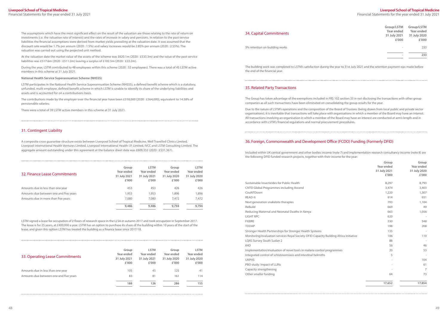Financial Statements for the year ended 31 July 2021

The assumptions which have the most significant effect on the result of the valuation are those relating to the rate of return on investments (i.e. the valuation rate of interest) and the rates of increase in salary and pensions. In relation to the past service liabilities the financial assumptions were derived from market yields prevailing at the valuation date. It was assumed that the discount rate would be 1.7% per annum (2020 : 1.5%) and salary increases would be 2.85% per annum (2020 : 2.55%). The valuation was carried out using the projected unit method.

At the valuation date the market value of the assets of the scheme was £620.1m (2020 : £533.3m) and the value of the past service liabilities was £517.6m (2020 : £511.2m) leaving a surplus of £102.5m (2020 : £22.2m).

During the year, LSTM contributed to 48 employees within this scheme (2020 : 52 employees). There was a total of 45 LSTM active members in this scheme at 31 July 2021.

#### **National Health Service Superannuation Scheme (NHSSS)**

LSTM participates in the National Health Service Superannuation Scheme (NHSSS), a defined benefit scheme which is a statutory, unfunded, multi employer, defined benefit scheme in which LSTM is unable to identify its share of the underlying liabilities and assets and is accounted for on a contributions basis.

The contributions made by the employer over the financial year have been £318,000 (2020 : £364,000), equivalent to 14.38% of pensionable salaries.

There were a total of 39 LSTM active members in this scheme at 31 July 2021.

#### 31. Contingent Liability

A composite cross guarantee structure exists between Liverpool School of Tropical Medicine, Well Travelled Clinics Limited, Liverpool International Health Ventures Limited, Liverpool International Health I.P. Limited, IVCC and LSTM Consulting Limited. The aggregate amount outstanding under this agreement at the balance sheet date was £609,352 (2020 : £531,361).

| 32. Finance Lease Commitments          | Group<br>Year ended<br>31 July 2021<br>£'000 | <b>LSTM</b><br>Year ended<br>31 July 2021<br>£'000 | Group<br>Year ended<br>31 July 2020<br>£'000 | <b>LSTM</b><br>Year ended<br>31 July 2020<br>£'000 |
|----------------------------------------|----------------------------------------------|----------------------------------------------------|----------------------------------------------|----------------------------------------------------|
| Amounts due in less than one year      | 453                                          | 453                                                | 426                                          | 426                                                |
| Amounts due between one and five years | 1,953                                        | 1,953                                              | 1,896                                        | 1,896                                              |
| Amounts due in more than five years    | 7,080                                        | 7,080                                              | 7,472                                        | 7,472                                              |
|                                        | 9,486                                        | 9,486                                              | 9,794                                        | 9,794                                              |

LSTM signed a lease for occupation of 2 floors of research space in the LLSA in autumn 2017 and took occupation in September 2017. The lease is for 25 years, at £400,000 a year. LSTM has an option to purchase its share of the building within 10 years of the start of the lease, and given this option LSTM has treated the building as a finance lease since 2017/18.

| 33. Operating Lease Commitments        | Group<br>Year ended<br>31 July 2021<br>£'000 | <b>LSTM</b><br>Year ended<br>31 July 2021<br>£'000 | Group<br>Year ended<br>31 July 2020<br>£'000 | <b>LSTM</b><br>Year ended<br>31 July 2020<br>£'000 |
|----------------------------------------|----------------------------------------------|----------------------------------------------------|----------------------------------------------|----------------------------------------------------|
| Amounts due in less than one year      | 105                                          | 45                                                 | 125                                          | 41                                                 |
| Amounts due between one and five years | 83                                           | 81                                                 | 161                                          | 114                                                |
|                                        | 188                                          | 126                                                | 286                                          | 155                                                |

#### 34. Capital Commitments

5% retention on building works

| Group/LSTM<br>Year ended<br>31 July 2021<br>£'000 | Group/LSTM<br>Year ended<br>31 July 2020<br>£'000 |
|---------------------------------------------------|---------------------------------------------------|
|                                                   | 233                                               |
|                                                   | つろろ                                               |

The building work was completed to LSTM's satisfaction during the year to 31st July 2021 and the retention payment was made before the end of the financial year.

#### 35. Related Party Transactions

The Group has taken advantage of the exemptions included in FRS 102 section 33 in not disclosing the transactions with other group companies as all such transactions have been eliminated on consolidating the group results for the year.

Due to the nature of LSTM's operations and the composition of the Board of Trustees (being drawn from local public and private sector organisations), it is inevitable that transactions will take place with organisations in which a member of the Board may have an interest. All transactions involving an organisation in which a member of the Board may have an interest are conducted at arm's length and in accordance with LSTM's financial regulations and normal procurement procedures.

## 36. Foreign, Commonwealth and Development Office (FCDO) Funding (Formerly DFID)

Included within UK central government and other bodies income (note 7) and implementation research consultancy income (note 8) are the following DFID funded research projects, together with their income for the year:

|                                                                                       | Group                      | Group                      |
|---------------------------------------------------------------------------------------|----------------------------|----------------------------|
|                                                                                       | Year ended<br>31 July 2021 | Year ended<br>31 July 2020 |
|                                                                                       | £'000                      | £'000                      |
|                                                                                       |                            |                            |
| Sustainable Insecticides for Public Health                                            | 8,297                      | 8,793                      |
| <b>CNTD Global Programmes including Ascend</b>                                        | 3,474                      | 3,403                      |
| CouNTDown                                                                             | 1,220                      | 1,307                      |
| <b>READ-It</b>                                                                        | 914                        | 931                        |
| Next generation snakebite therapies                                                   | 793                        | 1,104                      |
| ReBuild                                                                               | 669                        | 49                         |
| Reducing Maternal and Neonatal Deaths in Kenya                                        | 663                        | 1,056                      |
| <b>LIGHT RPC</b>                                                                      | 620                        |                            |
| <b>FIEBRE</b>                                                                         | 330                        | 548                        |
| <b>TDDAP</b>                                                                          | 198                        | 208                        |
| Stronger Health Partnerships for Stronger Health Systems                              | 135                        |                            |
| Monitoring/evaluation services Royal Society-DFID Capacity Building Africa Initiative | 106                        | 110                        |
| LQAS Survey South Sudan 2                                                             | 88                         |                            |
| K <sub>4</sub> D                                                                      | 56                         | 46                         |
| Implementation/evaluation of novel tools in malaria control programmes                | 20                         | 53                         |
| Integrated control of schistosomiasis and intestinal helmiths                         | 5                          |                            |
| <b>UKPHS</b>                                                                          |                            | 104                        |
| PBO study: Impact of LLINs                                                            |                            | 61                         |
| Capacity strengthening                                                                |                            | $\overline{7}$             |
| Other smaller funding                                                                 | 64                         | 73                         |
|                                                                                       | 17,652                     | 17,854                     |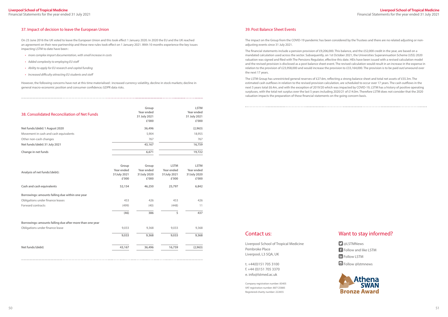## Contact us:

Liverpool School of Tropical Medicine Pembroke Place Liverpool, L3 5QA, UK

t. +44(0)151 705 3100 f. +44 (0)151 705 3370 e. [info@lstmed.ac.uk](mailto:info@lstmed.ac.uk)

Company registration number: 83405 VAT registration number: 887125885 Registered charity number: 222655

## Want to stay informed?

- **D** @LSTMNews
- Follow and like LSTM
- **in** Follow LSTM
- G Follow @lstmnews



#### 37. Impact of decision to leave the European Union

On 23 June 2016 the UK voted to leave the European Union and this took effect 1 January 2020. In 2020 the EU and the UK reached an agreement on their new partnership and these new rules took effect on 1 January 2021. With 10 months experience the key issues impacting LSTM to date have been :

- *• more complex import documentation, with small increase in costs*
- *• Added complexity to employing EU staff*
- *• Ability to apply for EU research and capital funding*
- *• Increased difficulty attracting EU students and staff*

However, the following concerns have not at this time materialised : increased currency volatility, decline in stock markets; decline in general macro-economic position and consumer confidence; GDPR data risks.

| 38. Consolidated Reconciliation of Net Funds | Group        | <b>LSTM</b>  |
|----------------------------------------------|--------------|--------------|
|                                              | Year ended   | Year ended   |
|                                              | 31 July 2021 | 31 July 2021 |
|                                              | £'000        | £'000        |
| Net funds/(debt) 1 August 2020               | 36,496       | (2,963)      |
| Movement in cash and cash equivalents        | 5,904        | 18,955       |
| Other non-cash changes                       | 767          | 767          |
| Net funds/(debt) 31 July 2021                | 43,167       | 16,759       |
| Change in net funds                          | 6,671        | 19,722       |

The financial statements include a pension provision of £9,206,000. This balance, and the £52,000 credit in the year, are based on a mandated calculation used across the sector. Subsequently, on 1st October 2021, the Universities Superannuation Scheme (USS) 2020 valuation was signed and filed with The Pensions Regulator, effective this date. HEIs have been issued with a revised calculation model and the revised provision is disclosed as a post balance sheet event. The revised calculation would result in an increase in the expense in relation to the provision of £23,958,000 and would increase the provision to £33,164,000. The provision is to be paid out/unwound over the next 17 years.

| Group<br>Year ended<br>31July 2021<br>£'000 | Group<br>Year ended<br>31 July 2020<br>£'000 | <b>LSTM</b><br>Year ended<br>31July 2021<br>£'000 | <b>LSTM</b><br>Year ended<br>31July 2020<br>£'000 |
|---------------------------------------------|----------------------------------------------|---------------------------------------------------|---------------------------------------------------|
| 52,154                                      | 46,250                                       | 25,797                                            | 6,842                                             |
|                                             |                                              |                                                   |                                                   |
| 453                                         | 426                                          | 453                                               | 426                                               |
| (499)                                       | (40)                                         | (448)                                             | 11                                                |
| (46)                                        | 386                                          | 5                                                 | 437                                               |
|                                             |                                              |                                                   |                                                   |
| 9,033                                       | 9,368                                        | 9,033                                             | 9,368                                             |
| 9,033                                       | 9,368                                        | 9,033                                             | 9,368                                             |
| 43,167                                      | 36,496                                       | 16,759                                            | (2,963)                                           |
|                                             |                                              |                                                   |                                                   |

#### 39. Post Balance Sheet Events

The impact on the Group from the COVID-19 pandemic has been considered by the Trustees and there are no related adjusting or nonadjusting events since 31 July 2021.

The LSTM Group has unrestricted general reserves of £27.6m, reflecting a strong balance sheet and total net assets of £55.3m. The estimated cash outflows in relation to the revised provision calculation, are scheduled to occur over 17 years. The cash outflows in the next 5 years total £6.4m, and with the exception of 2019/20 which was impacted by COVID-19, LSTM has a history of positive operating surpluses, with the total net surplus over the last 5 years including 2020/21 of £14.0m. Therefore LSTM does not consider that the 2020 valuation impacts the preparation of these financial statements on the going concern basis.